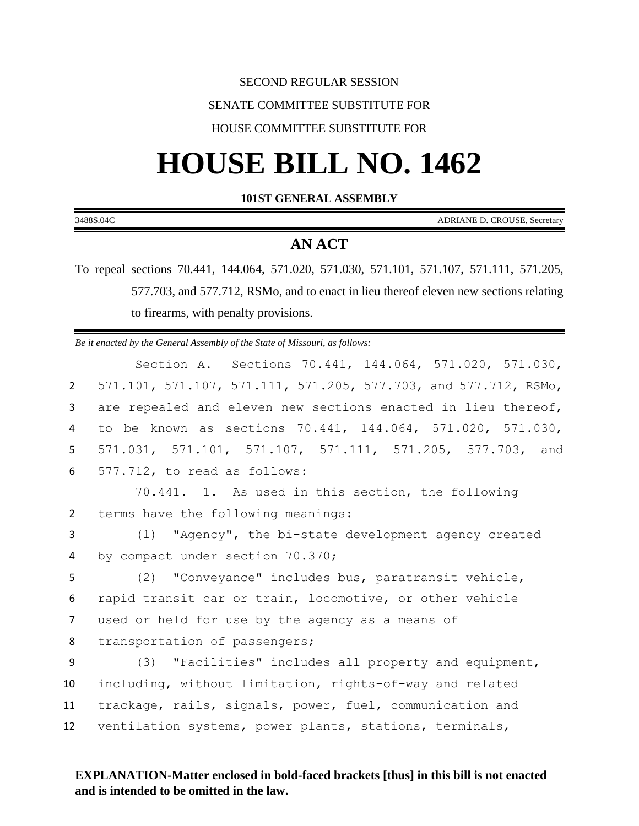# SECOND REGULAR SESSION

# SENATE COMMITTEE SUBSTITUTE FOR

# HOUSE COMMITTEE SUBSTITUTE FOR

# **HOUSE BILL NO. 1462**

#### **101ST GENERAL ASSEMBLY**

| 3488S.04C | $\overline{\phantom{a}}$<br>CDATAT<br>$\sim$<br>7IANE<br>ADRL<br>٦R١<br>D.<br>ROUSE, Secretary |
|-----------|------------------------------------------------------------------------------------------------|
|           |                                                                                                |
|           |                                                                                                |

# **AN ACT**

To repeal sections 70.441, 144.064, 571.020, 571.030, 571.101, 571.107, 571.111, 571.205, 577.703, and 577.712, RSMo, and to enact in lieu thereof eleven new sections relating to firearms, with penalty provisions.

*Be it enacted by the General Assembly of the State of Missouri, as follows:*

Section A. Sections 70.441, 144.064, 571.020, 571.030, 571.101, 571.107, 571.111, 571.205, 577.703, and 577.712, RSMo, are repealed and eleven new sections enacted in lieu thereof, to be known as sections 70.441, 144.064, 571.020, 571.030, 571.031, 571.101, 571.107, 571.111, 571.205, 577.703, and 577.712, to read as follows:

1 70.441. 1. As used in this section, the following 2 terms have the following meanings:

3 (1) "Agency", the bi-state development agency created 4 by compact under section 70.370;

 (2) "Conveyance" includes bus, paratransit vehicle, rapid transit car or train, locomotive, or other vehicle used or held for use by the agency as a means of 8 transportation of passengers;

 (3) "Facilities" includes all property and equipment, including, without limitation, rights-of-way and related trackage, rails, signals, power, fuel, communication and ventilation systems, power plants, stations, terminals,

# **EXPLANATION-Matter enclosed in bold-faced brackets [thus] in this bill is not enacted and is intended to be omitted in the law.**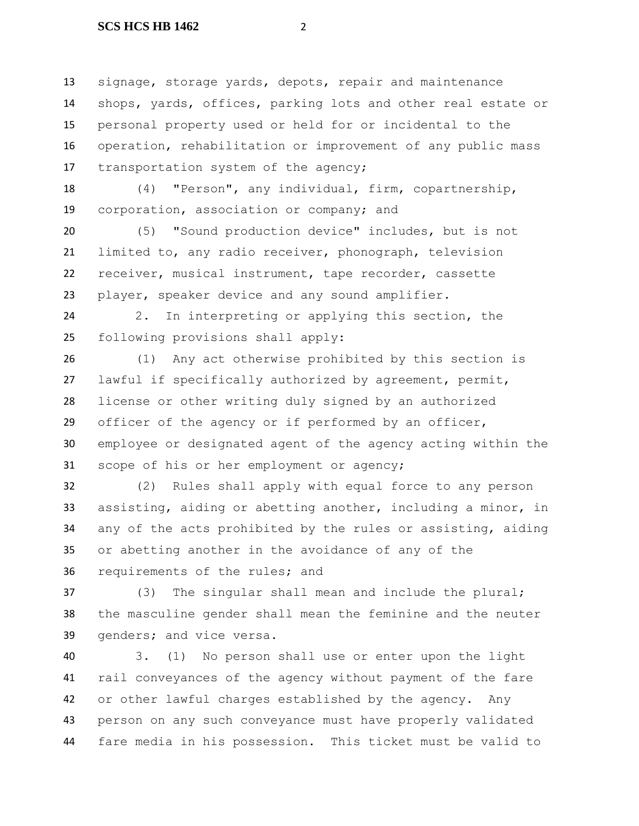signage, storage yards, depots, repair and maintenance shops, yards, offices, parking lots and other real estate or personal property used or held for or incidental to the operation, rehabilitation or improvement of any public mass 17 transportation system of the agency;

 (4) "Person", any individual, firm, copartnership, corporation, association or company; and

 (5) "Sound production device" includes, but is not limited to, any radio receiver, phonograph, television receiver, musical instrument, tape recorder, cassette player, speaker device and any sound amplifier.

 2. In interpreting or applying this section, the following provisions shall apply:

 (1) Any act otherwise prohibited by this section is lawful if specifically authorized by agreement, permit, license or other writing duly signed by an authorized officer of the agency or if performed by an officer, employee or designated agent of the agency acting within the scope of his or her employment or agency;

 (2) Rules shall apply with equal force to any person assisting, aiding or abetting another, including a minor, in any of the acts prohibited by the rules or assisting, aiding or abetting another in the avoidance of any of the requirements of the rules; and

 (3) The singular shall mean and include the plural; the masculine gender shall mean the feminine and the neuter genders; and vice versa.

 3. (1) No person shall use or enter upon the light rail conveyances of the agency without payment of the fare or other lawful charges established by the agency. Any person on any such conveyance must have properly validated fare media in his possession. This ticket must be valid to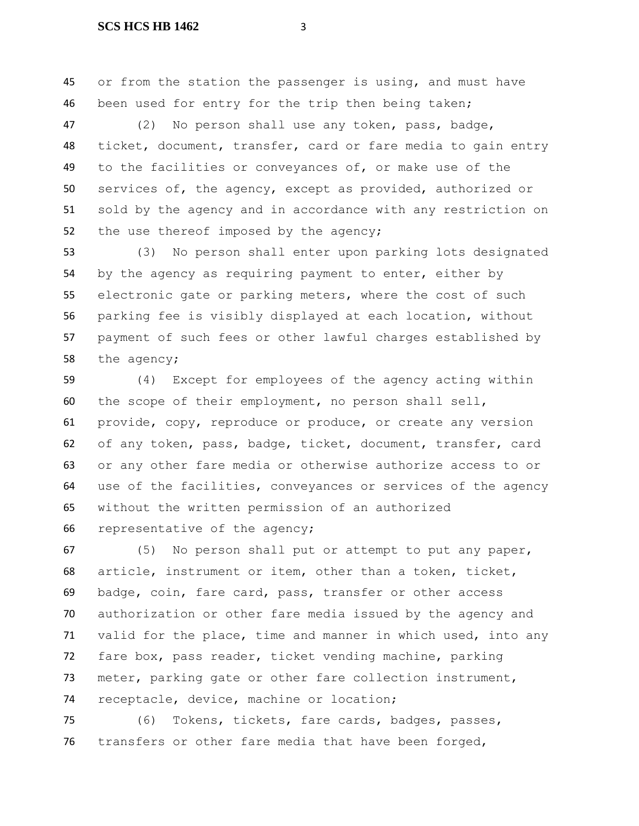or from the station the passenger is using, and must have been used for entry for the trip then being taken;

 (2) No person shall use any token, pass, badge, ticket, document, transfer, card or fare media to gain entry to the facilities or conveyances of, or make use of the services of, the agency, except as provided, authorized or sold by the agency and in accordance with any restriction on 52 the use thereof imposed by the agency;

 (3) No person shall enter upon parking lots designated by the agency as requiring payment to enter, either by electronic gate or parking meters, where the cost of such parking fee is visibly displayed at each location, without payment of such fees or other lawful charges established by the agency;

 (4) Except for employees of the agency acting within the scope of their employment, no person shall sell, provide, copy, reproduce or produce, or create any version of any token, pass, badge, ticket, document, transfer, card or any other fare media or otherwise authorize access to or use of the facilities, conveyances or services of the agency without the written permission of an authorized representative of the agency;

 (5) No person shall put or attempt to put any paper, article, instrument or item, other than a token, ticket, badge, coin, fare card, pass, transfer or other access authorization or other fare media issued by the agency and valid for the place, time and manner in which used, into any fare box, pass reader, ticket vending machine, parking meter, parking gate or other fare collection instrument, receptacle, device, machine or location;

 (6) Tokens, tickets, fare cards, badges, passes, transfers or other fare media that have been forged,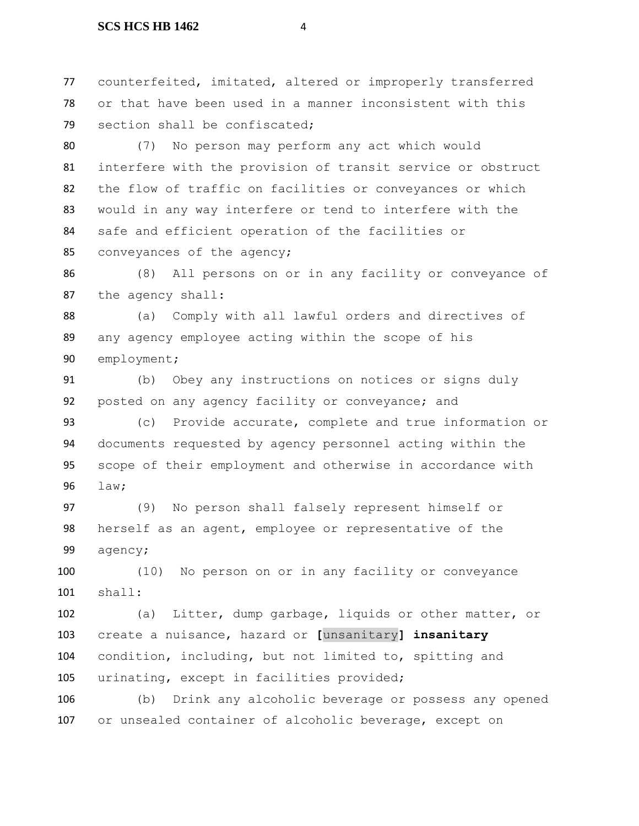counterfeited, imitated, altered or improperly transferred or that have been used in a manner inconsistent with this 79 section shall be confiscated;

 (7) No person may perform any act which would interfere with the provision of transit service or obstruct the flow of traffic on facilities or conveyances or which would in any way interfere or tend to interfere with the safe and efficient operation of the facilities or conveyances of the agency;

 (8) All persons on or in any facility or conveyance of the agency shall:

 (a) Comply with all lawful orders and directives of any agency employee acting within the scope of his employment;

 (b) Obey any instructions on notices or signs duly posted on any agency facility or conveyance; and

 (c) Provide accurate, complete and true information or documents requested by agency personnel acting within the scope of their employment and otherwise in accordance with law;

 (9) No person shall falsely represent himself or herself as an agent, employee or representative of the agency;

 (10) No person on or in any facility or conveyance shall:

 (a) Litter, dump garbage, liquids or other matter, or create a nuisance, hazard or **[**unsanitary**] insanitary** condition, including, but not limited to, spitting and urinating, except in facilities provided;

 (b) Drink any alcoholic beverage or possess any opened or unsealed container of alcoholic beverage, except on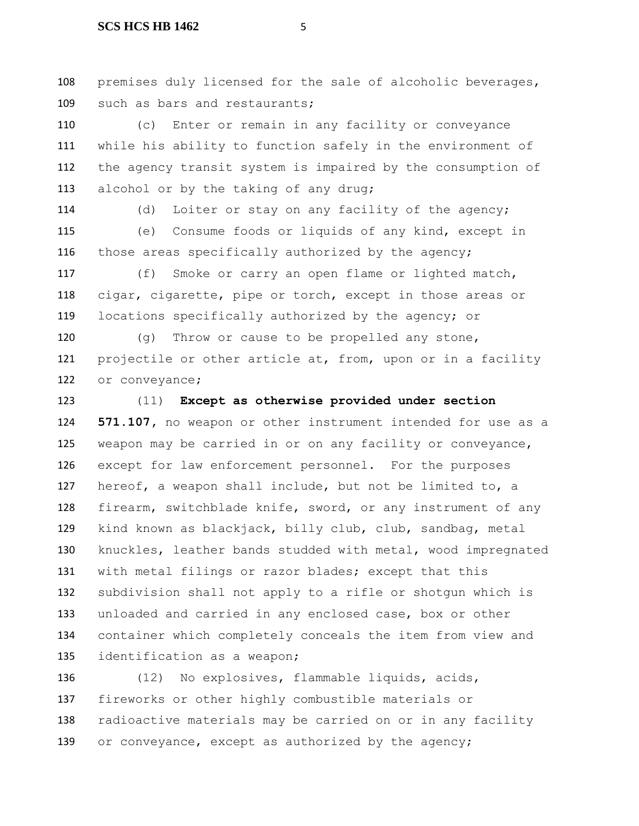premises duly licensed for the sale of alcoholic beverages, such as bars and restaurants;

 (c) Enter or remain in any facility or conveyance while his ability to function safely in the environment of the agency transit system is impaired by the consumption of 113 alcohol or by the taking of any drug;

114 (d) Loiter or stay on any facility of the agency; (e) Consume foods or liquids of any kind, except in 116 those areas specifically authorized by the agency;

 (f) Smoke or carry an open flame or lighted match, cigar, cigarette, pipe or torch, except in those areas or locations specifically authorized by the agency; or

 (g) Throw or cause to be propelled any stone, 121 projectile or other article at, from, upon or in a facility or conveyance;

 (11) **Except as otherwise provided under section 571.107,** no weapon or other instrument intended for use as a weapon may be carried in or on any facility or conveyance, except for law enforcement personnel. For the purposes hereof, a weapon shall include, but not be limited to, a firearm, switchblade knife, sword, or any instrument of any kind known as blackjack, billy club, club, sandbag, metal knuckles, leather bands studded with metal, wood impregnated with metal filings or razor blades; except that this subdivision shall not apply to a rifle or shotgun which is unloaded and carried in any enclosed case, box or other container which completely conceals the item from view and identification as a weapon;

 (12) No explosives, flammable liquids, acids, fireworks or other highly combustible materials or radioactive materials may be carried on or in any facility 139 or conveyance, except as authorized by the agency;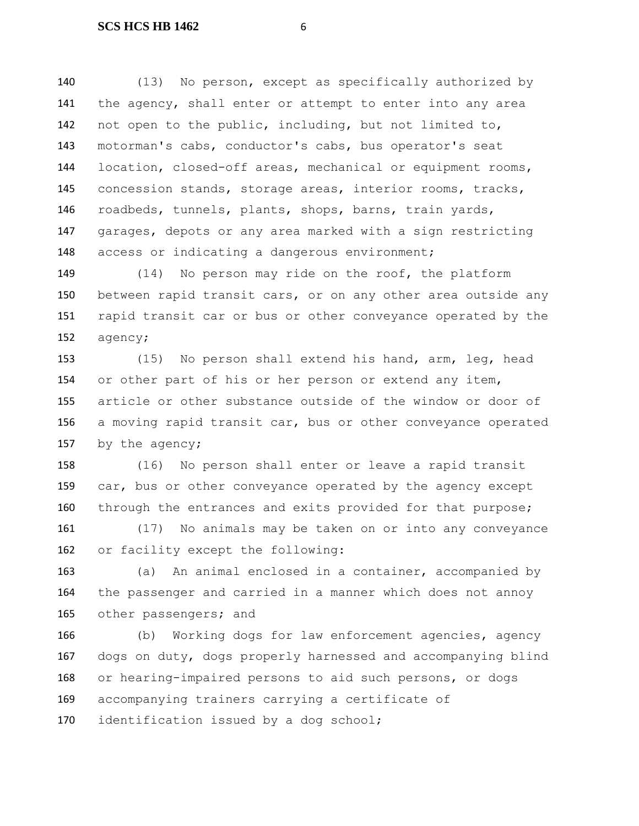(13) No person, except as specifically authorized by 141 the agency, shall enter or attempt to enter into any area not open to the public, including, but not limited to, motorman's cabs, conductor's cabs, bus operator's seat location, closed-off areas, mechanical or equipment rooms, concession stands, storage areas, interior rooms, tracks, roadbeds, tunnels, plants, shops, barns, train yards, garages, depots or any area marked with a sign restricting 148 access or indicating a dangerous environment;

 (14) No person may ride on the roof, the platform between rapid transit cars, or on any other area outside any rapid transit car or bus or other conveyance operated by the agency;

 (15) No person shall extend his hand, arm, leg, head or other part of his or her person or extend any item, article or other substance outside of the window or door of a moving rapid transit car, bus or other conveyance operated 157 by the agency;

 (16) No person shall enter or leave a rapid transit car, bus or other conveyance operated by the agency except through the entrances and exits provided for that purpose;

 (17) No animals may be taken on or into any conveyance or facility except the following:

 (a) An animal enclosed in a container, accompanied by the passenger and carried in a manner which does not annoy 165 other passengers; and

166 (b) Working dogs for law enforcement agencies, agency dogs on duty, dogs properly harnessed and accompanying blind or hearing-impaired persons to aid such persons, or dogs accompanying trainers carrying a certificate of 170 identification issued by a dog school;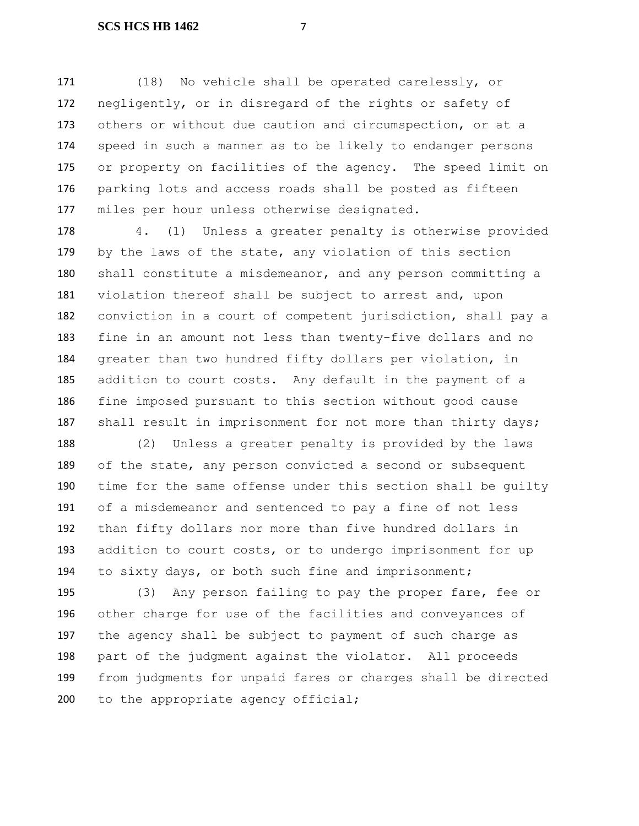(18) No vehicle shall be operated carelessly, or negligently, or in disregard of the rights or safety of others or without due caution and circumspection, or at a speed in such a manner as to be likely to endanger persons or property on facilities of the agency. The speed limit on parking lots and access roads shall be posted as fifteen miles per hour unless otherwise designated.

 4. (1) Unless a greater penalty is otherwise provided by the laws of the state, any violation of this section shall constitute a misdemeanor, and any person committing a violation thereof shall be subject to arrest and, upon conviction in a court of competent jurisdiction, shall pay a fine in an amount not less than twenty-five dollars and no greater than two hundred fifty dollars per violation, in addition to court costs. Any default in the payment of a fine imposed pursuant to this section without good cause 187 shall result in imprisonment for not more than thirty days;

 (2) Unless a greater penalty is provided by the laws 189 of the state, any person convicted a second or subsequent time for the same offense under this section shall be guilty of a misdemeanor and sentenced to pay a fine of not less than fifty dollars nor more than five hundred dollars in addition to court costs, or to undergo imprisonment for up to sixty days, or both such fine and imprisonment;

 (3) Any person failing to pay the proper fare, fee or other charge for use of the facilities and conveyances of the agency shall be subject to payment of such charge as part of the judgment against the violator. All proceeds from judgments for unpaid fares or charges shall be directed 200 to the appropriate agency official;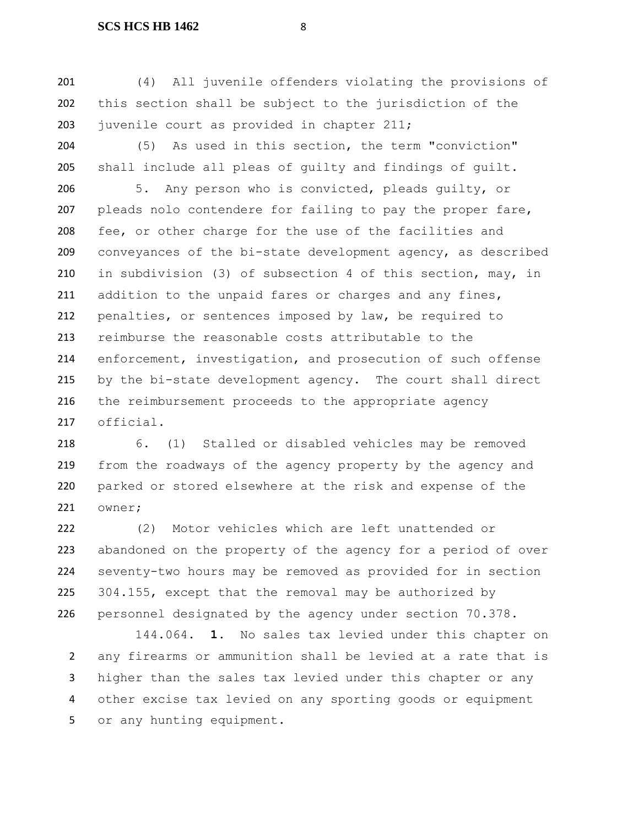(4) All juvenile offenders violating the provisions of this section shall be subject to the jurisdiction of the 203 juvenile court as provided in chapter 211;

 (5) As used in this section, the term "conviction" shall include all pleas of guilty and findings of guilt.

 5. Any person who is convicted, pleads guilty, or 207 pleads nolo contendere for failing to pay the proper fare, fee, or other charge for the use of the facilities and conveyances of the bi-state development agency, as described in subdivision (3) of subsection 4 of this section, may, in addition to the unpaid fares or charges and any fines, penalties, or sentences imposed by law, be required to reimburse the reasonable costs attributable to the 214 enforcement, investigation, and prosecution of such offense by the bi-state development agency. The court shall direct the reimbursement proceeds to the appropriate agency official.

 6. (1) Stalled or disabled vehicles may be removed from the roadways of the agency property by the agency and parked or stored elsewhere at the risk and expense of the owner;

 (2) Motor vehicles which are left unattended or abandoned on the property of the agency for a period of over seventy-two hours may be removed as provided for in section 225 304.155, except that the removal may be authorized by personnel designated by the agency under section 70.378.

 144.064. **1.** No sales tax levied under this chapter on any firearms or ammunition shall be levied at a rate that is higher than the sales tax levied under this chapter or any other excise tax levied on any sporting goods or equipment or any hunting equipment.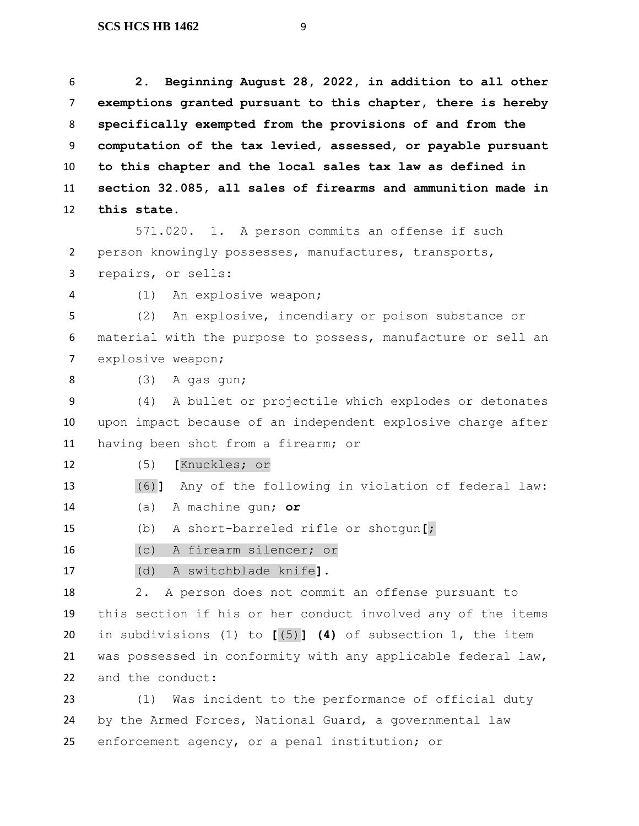**2. Beginning August 28, 2022, in addition to all other exemptions granted pursuant to this chapter, there is hereby specifically exempted from the provisions of and from the computation of the tax levied, assessed, or payable pursuant to this chapter and the local sales tax law as defined in section 32.085, all sales of firearms and ammunition made in this state.**

571.020. 1. A person commits an offense if such person knowingly possesses, manufactures, transports, repairs, or sells:

(1) An explosive weapon;

 (2) An explosive, incendiary or poison substance or material with the purpose to possess, manufacture or sell an explosive weapon;

(3) A gas gun;

 (4) A bullet or projectile which explodes or detonates upon impact because of an independent explosive charge after having been shot from a firearm; or

(5) **[**Knuckles; or

(6)**]** Any of the following in violation of federal law:

(a) A machine gun; **or**

(b) A short-barreled rifle or shotgun**[**;

(c) A firearm silencer; or

(d) A switchblade knife**]**.

 2. A person does not commit an offense pursuant to this section if his or her conduct involved any of the items in subdivisions (1) to **[**(5)**] (4)** of subsection 1, the item was possessed in conformity with any applicable federal law, and the conduct:

 (1) Was incident to the performance of official duty by the Armed Forces, National Guard, a governmental law enforcement agency, or a penal institution; or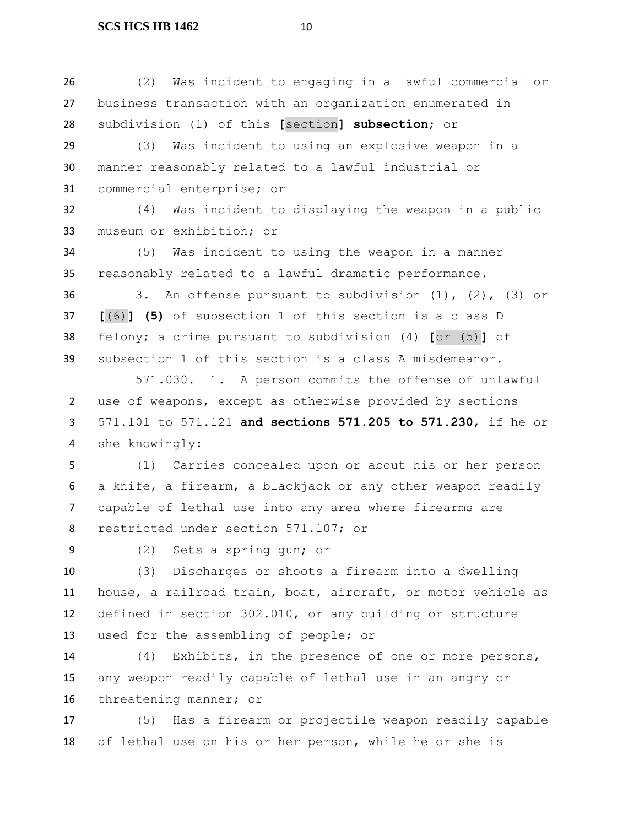(2) Was incident to engaging in a lawful commercial or business transaction with an organization enumerated in subdivision (1) of this **[**section**] subsection**; or

 (3) Was incident to using an explosive weapon in a manner reasonably related to a lawful industrial or commercial enterprise; or

 (4) Was incident to displaying the weapon in a public museum or exhibition; or

 (5) Was incident to using the weapon in a manner reasonably related to a lawful dramatic performance.

 3. An offense pursuant to subdivision (1), (2), (3) or **[**(6)**] (5)** of subsection 1 of this section is a class D felony; a crime pursuant to subdivision (4) **[**or (5)**]** of subsection 1 of this section is a class A misdemeanor.

571.030. 1. A person commits the offense of unlawful use of weapons, except as otherwise provided by sections 571.101 to 571.121 **and sections 571.205 to 571.230**, if he or she knowingly:

 (1) Carries concealed upon or about his or her person a knife, a firearm, a blackjack or any other weapon readily capable of lethal use into any area where firearms are restricted under section 571.107; or

(2) Sets a spring gun; or

 (3) Discharges or shoots a firearm into a dwelling house, a railroad train, boat, aircraft, or motor vehicle as defined in section 302.010, or any building or structure used for the assembling of people; or

 (4) Exhibits, in the presence of one or more persons, any weapon readily capable of lethal use in an angry or threatening manner; or

 (5) Has a firearm or projectile weapon readily capable of lethal use on his or her person, while he or she is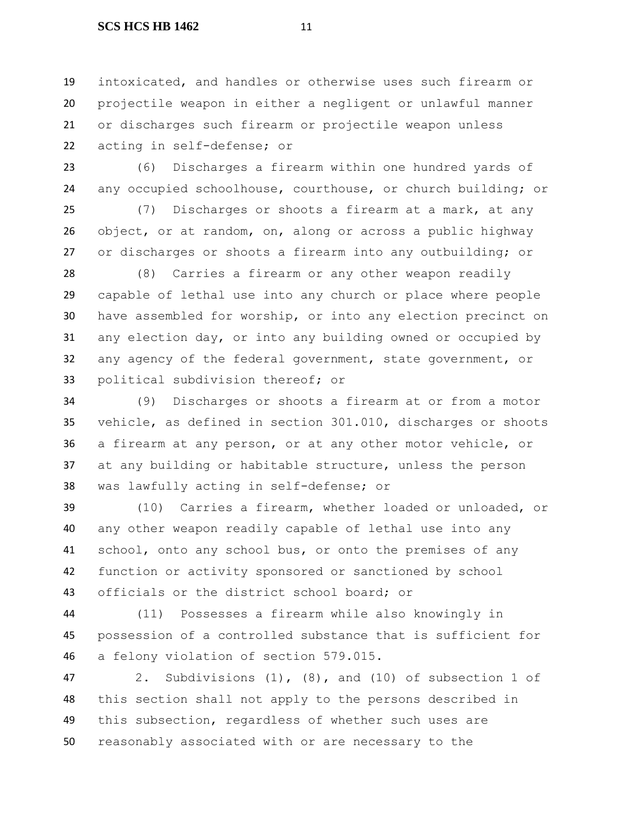intoxicated, and handles or otherwise uses such firearm or projectile weapon in either a negligent or unlawful manner or discharges such firearm or projectile weapon unless acting in self-defense; or

 (6) Discharges a firearm within one hundred yards of any occupied schoolhouse, courthouse, or church building; or

 (7) Discharges or shoots a firearm at a mark, at any object, or at random, on, along or across a public highway or discharges or shoots a firearm into any outbuilding; or

 (8) Carries a firearm or any other weapon readily capable of lethal use into any church or place where people have assembled for worship, or into any election precinct on any election day, or into any building owned or occupied by any agency of the federal government, state government, or political subdivision thereof; or

 (9) Discharges or shoots a firearm at or from a motor vehicle, as defined in section 301.010, discharges or shoots a firearm at any person, or at any other motor vehicle, or at any building or habitable structure, unless the person was lawfully acting in self-defense; or

 (10) Carries a firearm, whether loaded or unloaded, or any other weapon readily capable of lethal use into any school, onto any school bus, or onto the premises of any function or activity sponsored or sanctioned by school officials or the district school board; or

 (11) Possesses a firearm while also knowingly in possession of a controlled substance that is sufficient for a felony violation of section 579.015.

 2. Subdivisions (1), (8), and (10) of subsection 1 of this section shall not apply to the persons described in this subsection, regardless of whether such uses are reasonably associated with or are necessary to the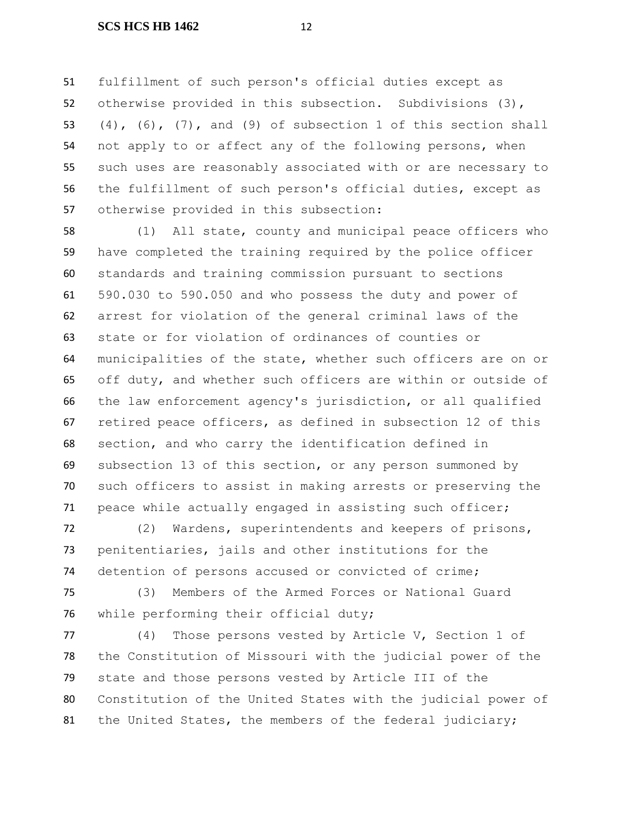fulfillment of such person's official duties except as otherwise provided in this subsection. Subdivisions (3),  $(4)$ ,  $(6)$ ,  $(7)$ , and  $(9)$  of subsection 1 of this section shall not apply to or affect any of the following persons, when such uses are reasonably associated with or are necessary to the fulfillment of such person's official duties, except as otherwise provided in this subsection:

 (1) All state, county and municipal peace officers who have completed the training required by the police officer standards and training commission pursuant to sections 590.030 to 590.050 and who possess the duty and power of arrest for violation of the general criminal laws of the state or for violation of ordinances of counties or municipalities of the state, whether such officers are on or off duty, and whether such officers are within or outside of the law enforcement agency's jurisdiction, or all qualified retired peace officers, as defined in subsection 12 of this section, and who carry the identification defined in subsection 13 of this section, or any person summoned by such officers to assist in making arrests or preserving the peace while actually engaged in assisting such officer;

 (2) Wardens, superintendents and keepers of prisons, penitentiaries, jails and other institutions for the detention of persons accused or convicted of crime;

 (3) Members of the Armed Forces or National Guard while performing their official duty;

 (4) Those persons vested by Article V, Section 1 of the Constitution of Missouri with the judicial power of the state and those persons vested by Article III of the Constitution of the United States with the judicial power of 81 the United States, the members of the federal judiciary;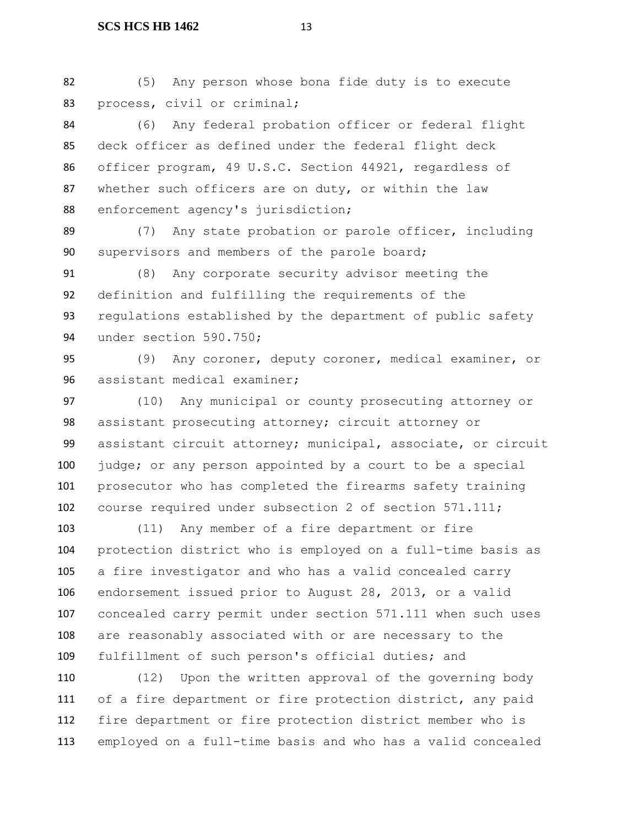(5) Any person whose bona fide duty is to execute process, civil or criminal;

 (6) Any federal probation officer or federal flight deck officer as defined under the federal flight deck officer program, 49 U.S.C. Section 44921, regardless of whether such officers are on duty, or within the law 88 enforcement agency's jurisdiction;

 (7) Any state probation or parole officer, including supervisors and members of the parole board;

 (8) Any corporate security advisor meeting the definition and fulfilling the requirements of the regulations established by the department of public safety under section 590.750;

 (9) Any coroner, deputy coroner, medical examiner, or assistant medical examiner;

 (10) Any municipal or county prosecuting attorney or assistant prosecuting attorney; circuit attorney or assistant circuit attorney; municipal, associate, or circuit 100 judge; or any person appointed by a court to be a special prosecutor who has completed the firearms safety training course required under subsection 2 of section 571.111;

 (11) Any member of a fire department or fire protection district who is employed on a full-time basis as a fire investigator and who has a valid concealed carry endorsement issued prior to August 28, 2013, or a valid concealed carry permit under section 571.111 when such uses are reasonably associated with or are necessary to the fulfillment of such person's official duties; and

 (12) Upon the written approval of the governing body of a fire department or fire protection district, any paid fire department or fire protection district member who is employed on a full-time basis and who has a valid concealed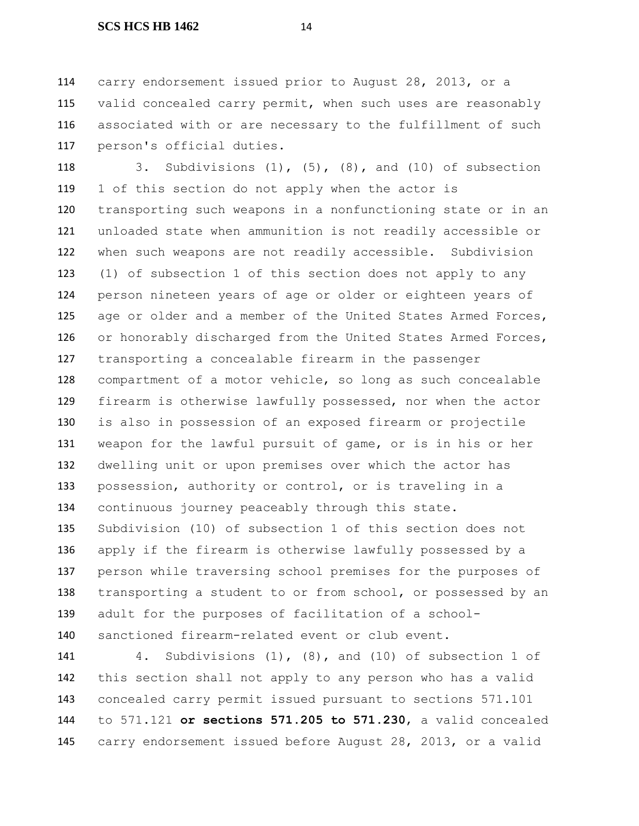carry endorsement issued prior to August 28, 2013, or a 115 valid concealed carry permit, when such uses are reasonably associated with or are necessary to the fulfillment of such person's official duties.

 3. Subdivisions (1), (5), (8), and (10) of subsection 1 of this section do not apply when the actor is transporting such weapons in a nonfunctioning state or in an unloaded state when ammunition is not readily accessible or when such weapons are not readily accessible. Subdivision (1) of subsection 1 of this section does not apply to any person nineteen years of age or older or eighteen years of 125 age or older and a member of the United States Armed Forces, 126 or honorably discharged from the United States Armed Forces, transporting a concealable firearm in the passenger compartment of a motor vehicle, so long as such concealable firearm is otherwise lawfully possessed, nor when the actor is also in possession of an exposed firearm or projectile weapon for the lawful pursuit of game, or is in his or her dwelling unit or upon premises over which the actor has possession, authority or control, or is traveling in a continuous journey peaceably through this state. Subdivision (10) of subsection 1 of this section does not apply if the firearm is otherwise lawfully possessed by a person while traversing school premises for the purposes of 138 transporting a student to or from school, or possessed by an adult for the purposes of facilitation of a school-sanctioned firearm-related event or club event.

 4. Subdivisions (1), (8), and (10) of subsection 1 of this section shall not apply to any person who has a valid concealed carry permit issued pursuant to sections 571.101 to 571.121 **or sections 571.205 to 571.230**, a valid concealed carry endorsement issued before August 28, 2013, or a valid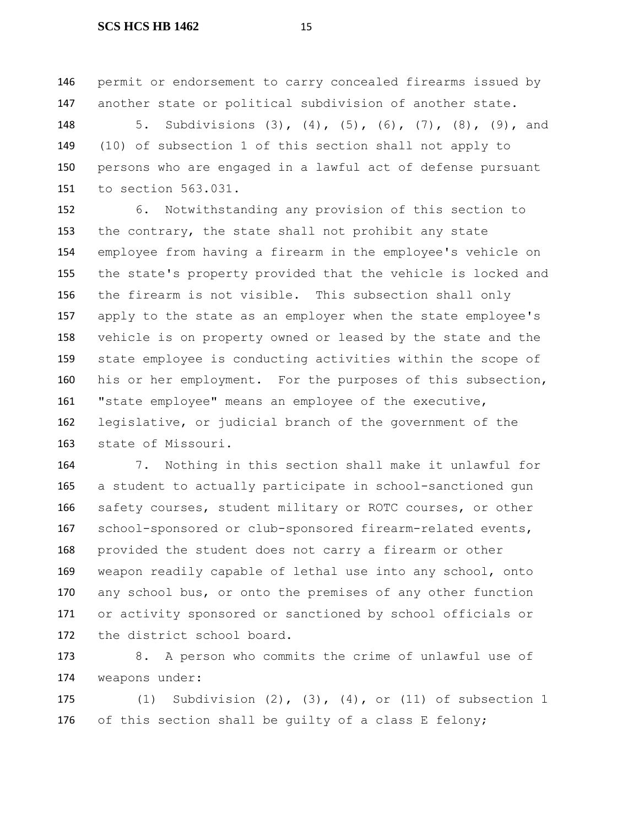permit or endorsement to carry concealed firearms issued by another state or political subdivision of another state.

 5. Subdivisions (3), (4), (5), (6), (7), (8), (9), and (10) of subsection 1 of this section shall not apply to persons who are engaged in a lawful act of defense pursuant to section 563.031.

 6. Notwithstanding any provision of this section to the contrary, the state shall not prohibit any state employee from having a firearm in the employee's vehicle on the state's property provided that the vehicle is locked and the firearm is not visible. This subsection shall only apply to the state as an employer when the state employee's vehicle is on property owned or leased by the state and the state employee is conducting activities within the scope of his or her employment. For the purposes of this subsection, "state employee" means an employee of the executive, legislative, or judicial branch of the government of the state of Missouri.

 7. Nothing in this section shall make it unlawful for a student to actually participate in school-sanctioned gun safety courses, student military or ROTC courses, or other school-sponsored or club-sponsored firearm-related events, provided the student does not carry a firearm or other weapon readily capable of lethal use into any school, onto 170 any school bus, or onto the premises of any other function or activity sponsored or sanctioned by school officials or the district school board.

 8. A person who commits the crime of unlawful use of weapons under:

 (1) Subdivision (2), (3), (4), or (11) of subsection 1 of this section shall be guilty of a class E felony;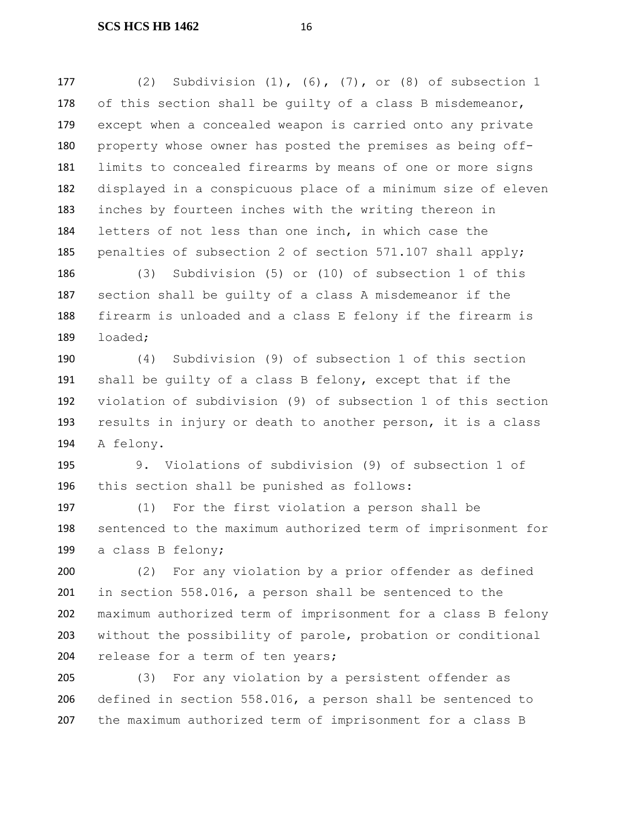(2) Subdivision (1), (6), (7), or (8) of subsection 1 178 of this section shall be quilty of a class B misdemeanor, except when a concealed weapon is carried onto any private property whose owner has posted the premises as being off- limits to concealed firearms by means of one or more signs displayed in a conspicuous place of a minimum size of eleven inches by fourteen inches with the writing thereon in letters of not less than one inch, in which case the 185 penalties of subsection 2 of section 571.107 shall apply;

 (3) Subdivision (5) or (10) of subsection 1 of this section shall be guilty of a class A misdemeanor if the firearm is unloaded and a class E felony if the firearm is loaded;

 (4) Subdivision (9) of subsection 1 of this section shall be guilty of a class B felony, except that if the violation of subdivision (9) of subsection 1 of this section results in injury or death to another person, it is a class A felony.

 9. Violations of subdivision (9) of subsection 1 of this section shall be punished as follows:

 (1) For the first violation a person shall be sentenced to the maximum authorized term of imprisonment for a class B felony;

 (2) For any violation by a prior offender as defined in section 558.016, a person shall be sentenced to the maximum authorized term of imprisonment for a class B felony without the possibility of parole, probation or conditional 204 release for a term of ten years;

 (3) For any violation by a persistent offender as defined in section 558.016, a person shall be sentenced to the maximum authorized term of imprisonment for a class B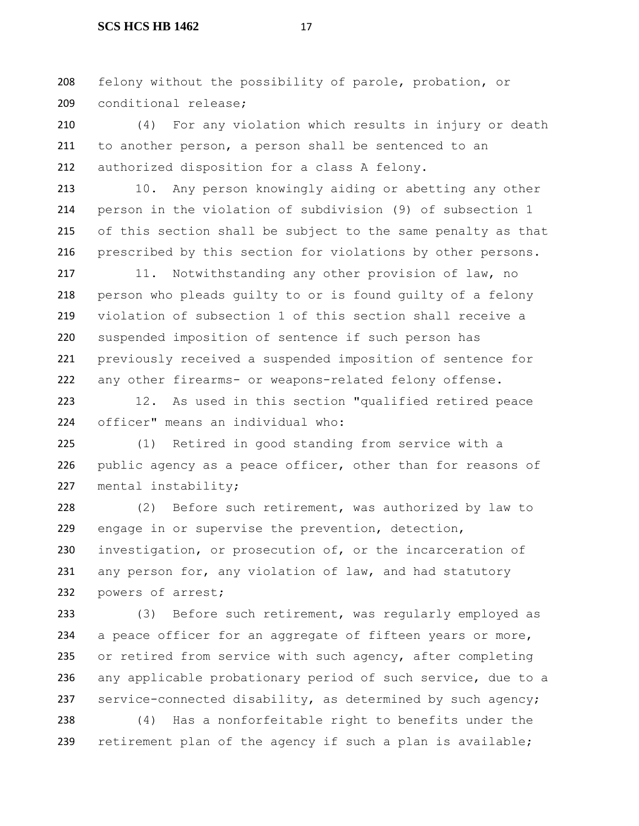felony without the possibility of parole, probation, or conditional release;

 (4) For any violation which results in injury or death to another person, a person shall be sentenced to an authorized disposition for a class A felony.

213 10. Any person knowingly aiding or abetting any other person in the violation of subdivision (9) of subsection 1 of this section shall be subject to the same penalty as that prescribed by this section for violations by other persons.

 11. Notwithstanding any other provision of law, no person who pleads guilty to or is found guilty of a felony violation of subsection 1 of this section shall receive a suspended imposition of sentence if such person has previously received a suspended imposition of sentence for any other firearms- or weapons-related felony offense.

 12. As used in this section "qualified retired peace officer" means an individual who:

 (1) Retired in good standing from service with a 226 public agency as a peace officer, other than for reasons of mental instability;

 (2) Before such retirement, was authorized by law to engage in or supervise the prevention, detection, investigation, or prosecution of, or the incarceration of 231 any person for, any violation of law, and had statutory 232 powers of arrest;

 (3) Before such retirement, was regularly employed as 234 a peace officer for an aggregate of fifteen years or more, 235 or retired from service with such agency, after completing any applicable probationary period of such service, due to a service-connected disability, as determined by such agency;

 (4) Has a nonforfeitable right to benefits under the 239 retirement plan of the agency if such a plan is available;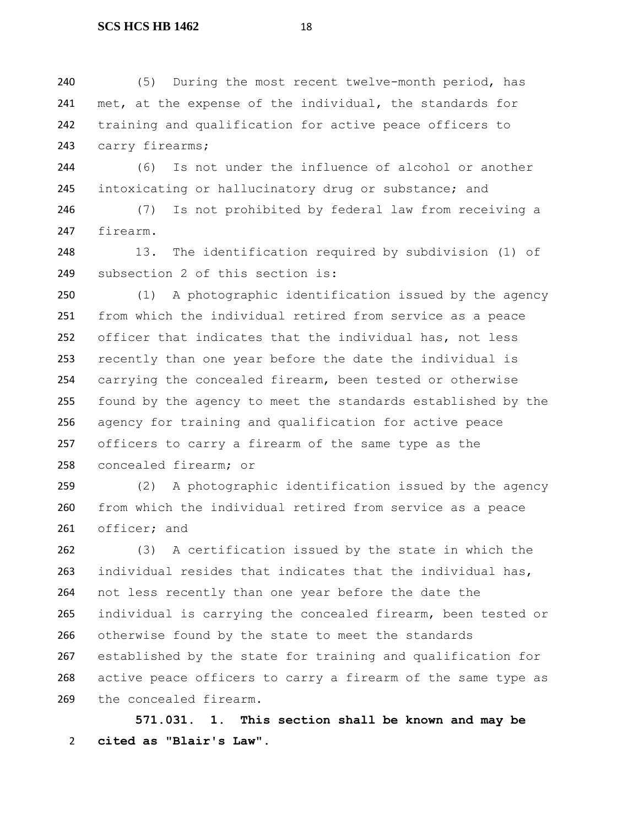(5) During the most recent twelve-month period, has 241 met, at the expense of the individual, the standards for training and qualification for active peace officers to 243 carry firearms;

 (6) Is not under the influence of alcohol or another 245 intoxicating or hallucinatory drug or substance; and

 (7) Is not prohibited by federal law from receiving a firearm.

 13. The identification required by subdivision (1) of subsection 2 of this section is:

 (1) A photographic identification issued by the agency from which the individual retired from service as a peace officer that indicates that the individual has, not less recently than one year before the date the individual is carrying the concealed firearm, been tested or otherwise found by the agency to meet the standards established by the agency for training and qualification for active peace officers to carry a firearm of the same type as the concealed firearm; or

 (2) A photographic identification issued by the agency from which the individual retired from service as a peace officer; and

 (3) A certification issued by the state in which the individual resides that indicates that the individual has, not less recently than one year before the date the individual is carrying the concealed firearm, been tested or otherwise found by the state to meet the standards established by the state for training and qualification for active peace officers to carry a firearm of the same type as the concealed firearm.

 **571.031. 1. This section shall be known and may be cited as "Blair's Law".**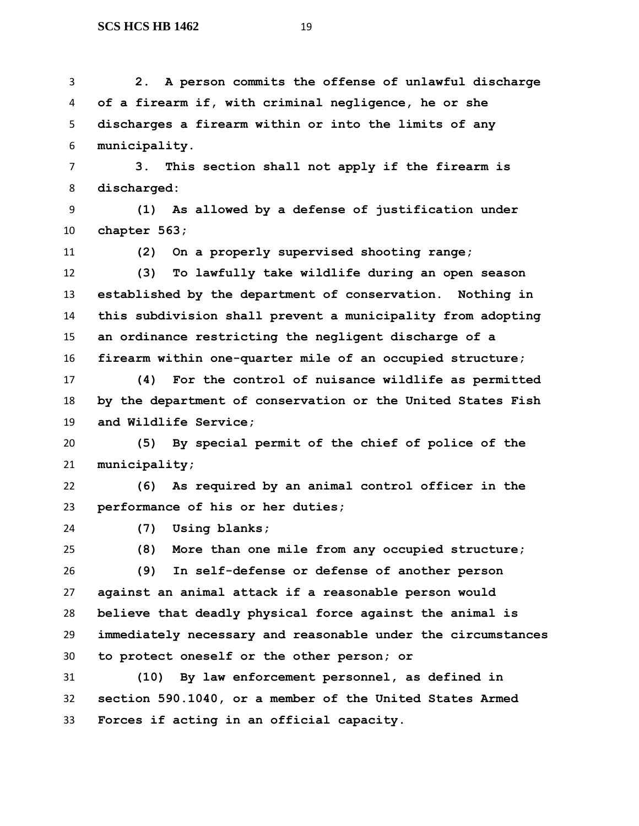**2. A person commits the offense of unlawful discharge of a firearm if, with criminal negligence, he or she discharges a firearm within or into the limits of any municipality.**

 **3. This section shall not apply if the firearm is discharged:**

 **(1) As allowed by a defense of justification under chapter 563;**

**(2) On a properly supervised shooting range;**

 **(3) To lawfully take wildlife during an open season established by the department of conservation. Nothing in this subdivision shall prevent a municipality from adopting an ordinance restricting the negligent discharge of a firearm within one-quarter mile of an occupied structure;**

 **(4) For the control of nuisance wildlife as permitted by the department of conservation or the United States Fish and Wildlife Service;**

 **(5) By special permit of the chief of police of the municipality;**

 **(6) As required by an animal control officer in the performance of his or her duties;**

**(7) Using blanks;**

**(8) More than one mile from any occupied structure;**

 **(9) In self-defense or defense of another person against an animal attack if a reasonable person would believe that deadly physical force against the animal is immediately necessary and reasonable under the circumstances to protect oneself or the other person; or**

 **(10) By law enforcement personnel, as defined in section 590.1040, or a member of the United States Armed Forces if acting in an official capacity.**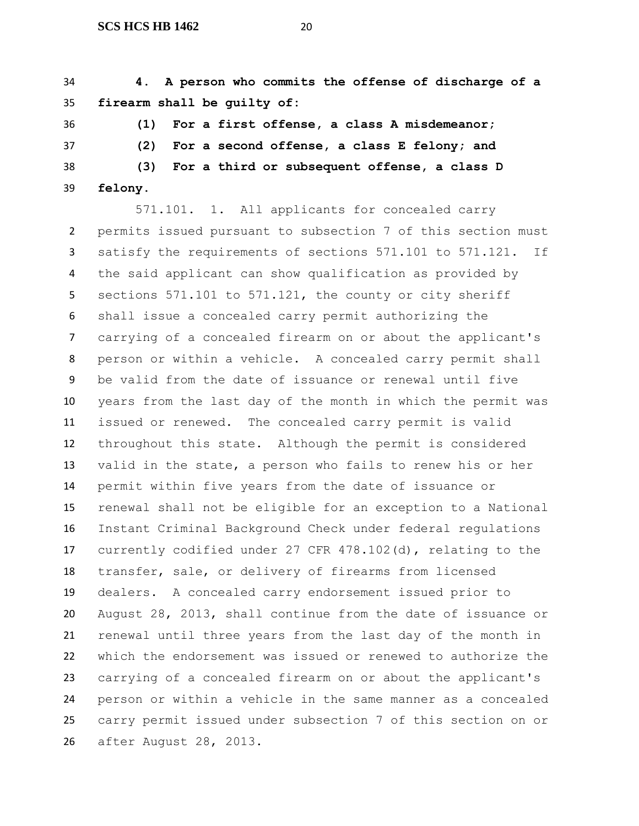**4. A person who commits the offense of discharge of a firearm shall be guilty of:**

 **(1) For a first offense, a class A misdemeanor; (2) For a second offense, a class E felony; and (3) For a third or subsequent offense, a class D** 

**felony.**

571.101. 1. All applicants for concealed carry permits issued pursuant to subsection 7 of this section must satisfy the requirements of sections 571.101 to 571.121. If the said applicant can show qualification as provided by sections 571.101 to 571.121, the county or city sheriff shall issue a concealed carry permit authorizing the carrying of a concealed firearm on or about the applicant's person or within a vehicle. A concealed carry permit shall be valid from the date of issuance or renewal until five years from the last day of the month in which the permit was issued or renewed. The concealed carry permit is valid throughout this state. Although the permit is considered valid in the state, a person who fails to renew his or her permit within five years from the date of issuance or renewal shall not be eligible for an exception to a National Instant Criminal Background Check under federal regulations currently codified under 27 CFR 478.102(d), relating to the transfer, sale, or delivery of firearms from licensed dealers. A concealed carry endorsement issued prior to August 28, 2013, shall continue from the date of issuance or renewal until three years from the last day of the month in which the endorsement was issued or renewed to authorize the carrying of a concealed firearm on or about the applicant's person or within a vehicle in the same manner as a concealed carry permit issued under subsection 7 of this section on or after August 28, 2013.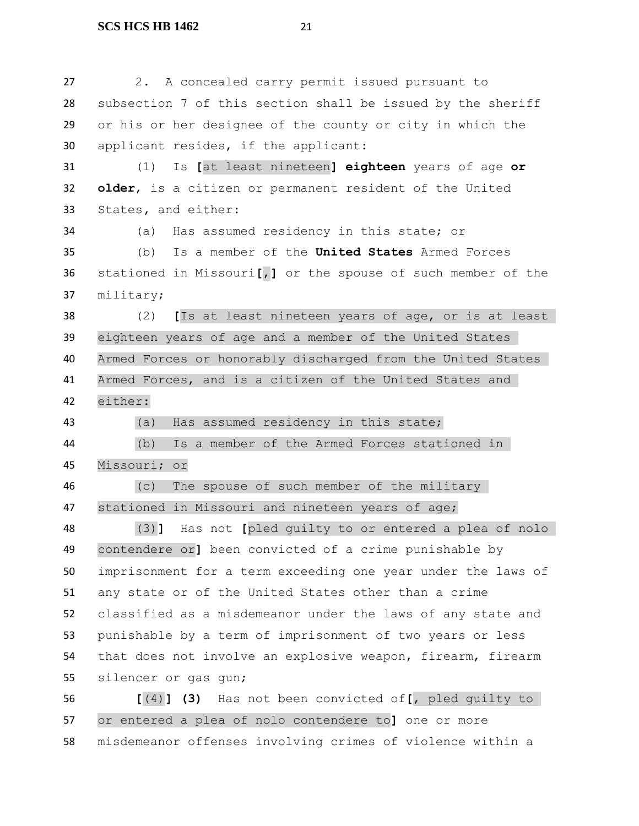2. A concealed carry permit issued pursuant to subsection 7 of this section shall be issued by the sheriff or his or her designee of the county or city in which the applicant resides, if the applicant: (1) Is **[**at least nineteen**] eighteen** years of age **or older**, is a citizen or permanent resident of the United States**,** and either: (a) Has assumed residency in this state; or (b) Is a member of the **United States** Armed Forces stationed in Missouri**[**,**]** or the spouse of such member of the military; (2) **[**Is at least nineteen years of age, or is at least eighteen years of age and a member of the United States Armed Forces or honorably discharged from the United States Armed Forces, and is a citizen of the United States and either: (a) Has assumed residency in this state; (b) Is a member of the Armed Forces stationed in Missouri; or (c) The spouse of such member of the military stationed in Missouri and nineteen years of age; (3)**]** Has not **[**pled guilty to or entered a plea of nolo contendere or**]** been convicted of a crime punishable by imprisonment for a term exceeding one year under the laws of any state or of the United States other than a crime classified as a misdemeanor under the laws of any state and punishable by a term of imprisonment of two years or less that does not involve an explosive weapon, firearm, firearm silencer or gas gun; **[**(4)**] (3)** Has not been convicted of**[**, pled guilty to or entered a plea of nolo contendere to**]** one or more

misdemeanor offenses involving crimes of violence within a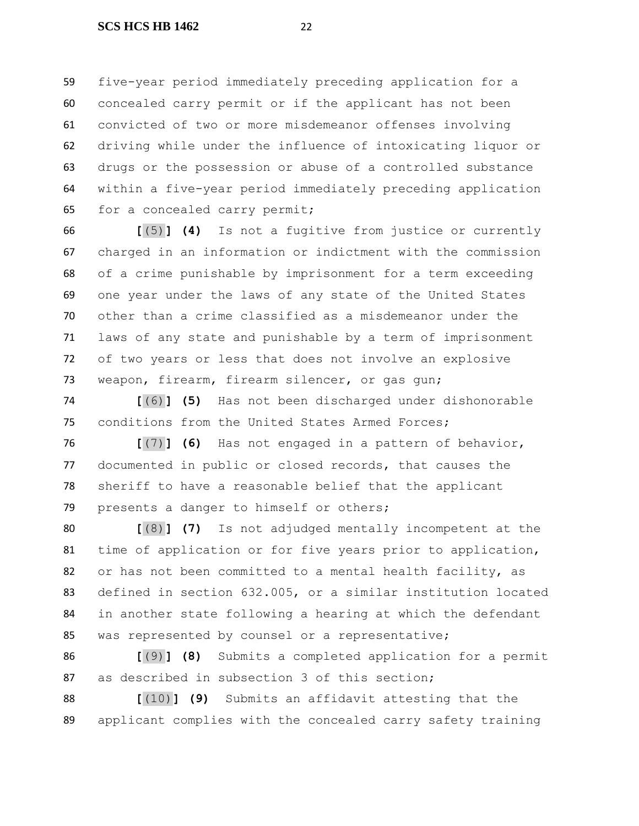five-year period immediately preceding application for a concealed carry permit or if the applicant has not been convicted of two or more misdemeanor offenses involving driving while under the influence of intoxicating liquor or drugs or the possession or abuse of a controlled substance within a five-year period immediately preceding application for a concealed carry permit;

 **[**(5)**] (4)** Is not a fugitive from justice or currently charged in an information or indictment with the commission of a crime punishable by imprisonment for a term exceeding one year under the laws of any state of the United States other than a crime classified as a misdemeanor under the laws of any state and punishable by a term of imprisonment of two years or less that does not involve an explosive weapon, firearm, firearm silencer, or gas gun;

 **[**(6)**] (5)** Has not been discharged under dishonorable conditions from the United States Armed Forces;

 **[**(7)**] (6)** Has not engaged in a pattern of behavior, documented in public or closed records, that causes the sheriff to have a reasonable belief that the applicant 79 presents a danger to himself or others;

 **[**(8)**] (7)** Is not adjudged mentally incompetent at the time of application or for five years prior to application, or has not been committed to a mental health facility, as defined in section 632.005, or a similar institution located in another state following a hearing at which the defendant was represented by counsel or a representative;

 **[**(9)**] (8)** Submits a completed application for a permit as described in subsection 3 of this section;

 **[**(10)**] (9)** Submits an affidavit attesting that the applicant complies with the concealed carry safety training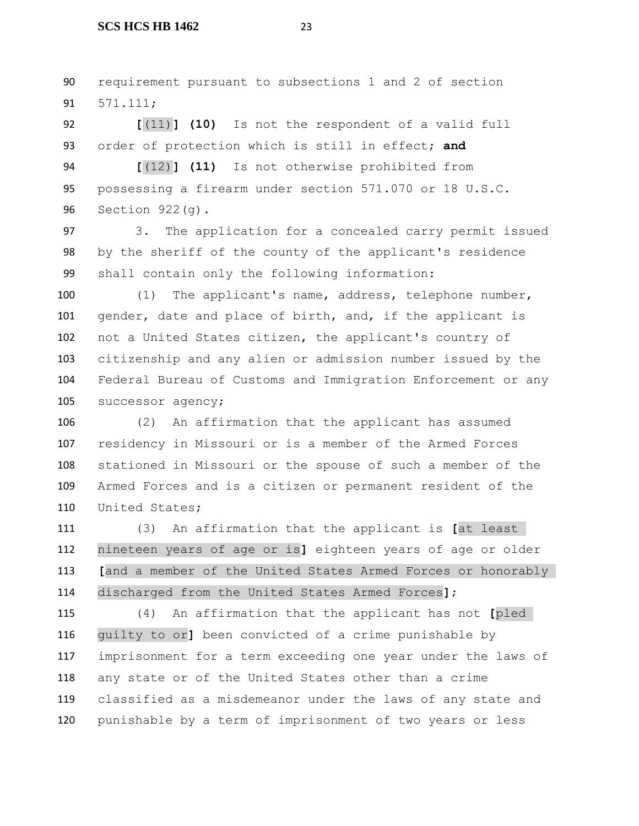requirement pursuant to subsections 1 and 2 of section 571.111;

 **[**(11)**] (10)** Is not the respondent of a valid full order of protection which is still in effect; **and**

 **[**(12)**] (11)** Is not otherwise prohibited from possessing a firearm under section 571.070 or 18 U.S.C. Section 922(g).

 3. The application for a concealed carry permit issued by the sheriff of the county of the applicant's residence shall contain only the following information:

 (1) The applicant's name, address, telephone number, 101 gender, date and place of birth, and, if the applicant is not a United States citizen, the applicant's country of citizenship and any alien or admission number issued by the Federal Bureau of Customs and Immigration Enforcement or any successor agency;

 (2) An affirmation that the applicant has assumed residency in Missouri or is a member of the Armed Forces stationed in Missouri or the spouse of such a member of the Armed Forces and is a citizen or permanent resident of the United States;

 (3) An affirmation that the applicant is **[**at least nineteen years of age or is**]** eighteen years of age or older **[**and a member of the United States Armed Forces or honorably discharged from the United States Armed Forces**]**;

 (4) An affirmation that the applicant has not **[**pled guilty to or**]** been convicted of a crime punishable by imprisonment for a term exceeding one year under the laws of any state or of the United States other than a crime classified as a misdemeanor under the laws of any state and punishable by a term of imprisonment of two years or less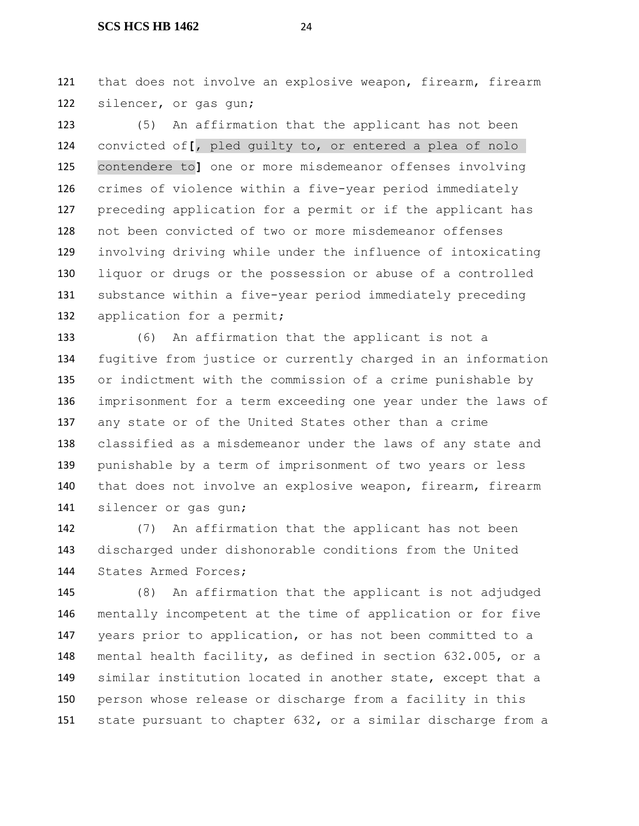that does not involve an explosive weapon, firearm, firearm silencer, or gas gun;

 (5) An affirmation that the applicant has not been convicted of**[**, pled guilty to, or entered a plea of nolo contendere to**]** one or more misdemeanor offenses involving crimes of violence within a five-year period immediately preceding application for a permit or if the applicant has not been convicted of two or more misdemeanor offenses involving driving while under the influence of intoxicating liquor or drugs or the possession or abuse of a controlled substance within a five-year period immediately preceding 132 application for a permit;

 (6) An affirmation that the applicant is not a fugitive from justice or currently charged in an information or indictment with the commission of a crime punishable by imprisonment for a term exceeding one year under the laws of any state or of the United States other than a crime classified as a misdemeanor under the laws of any state and punishable by a term of imprisonment of two years or less that does not involve an explosive weapon, firearm, firearm silencer or gas gun;

 (7) An affirmation that the applicant has not been discharged under dishonorable conditions from the United States Armed Forces;

 (8) An affirmation that the applicant is not adjudged mentally incompetent at the time of application or for five years prior to application, or has not been committed to a mental health facility, as defined in section 632.005, or a similar institution located in another state, except that a person whose release or discharge from a facility in this state pursuant to chapter 632, or a similar discharge from a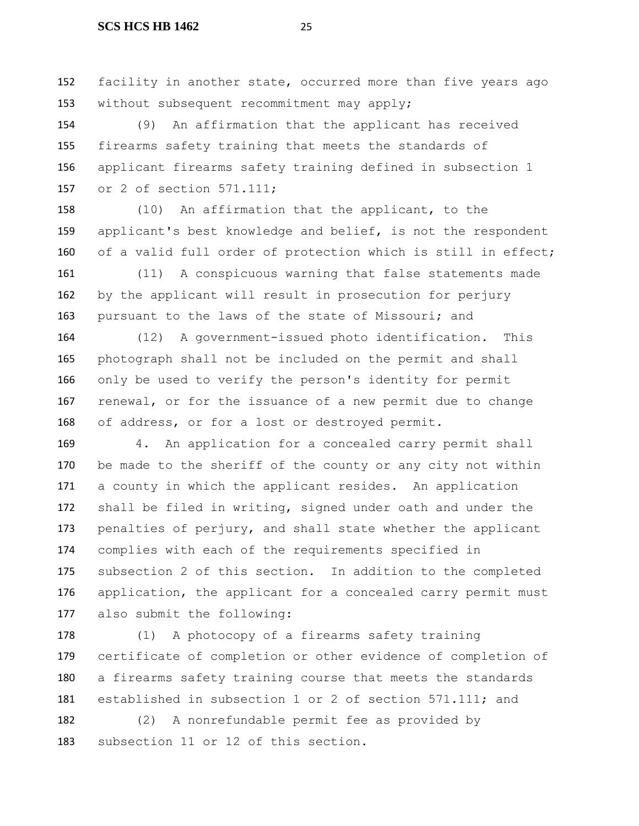facility in another state, occurred more than five years ago without subsequent recommitment may apply;

 (9) An affirmation that the applicant has received firearms safety training that meets the standards of applicant firearms safety training defined in subsection 1 or 2 of section 571.111;

 (10) An affirmation that the applicant, to the applicant's best knowledge and belief, is not the respondent of a valid full order of protection which is still in effect;

 (11) A conspicuous warning that false statements made by the applicant will result in prosecution for perjury 163 pursuant to the laws of the state of Missouri; and

 (12) A government-issued photo identification. This photograph shall not be included on the permit and shall only be used to verify the person's identity for permit renewal, or for the issuance of a new permit due to change of address, or for a lost or destroyed permit.

 4. An application for a concealed carry permit shall 170 be made to the sheriff of the county or any city not within a county in which the applicant resides. An application shall be filed in writing, signed under oath and under the 173 penalties of perjury, and shall state whether the applicant complies with each of the requirements specified in subsection 2 of this section. In addition to the completed 176 application, the applicant for a concealed carry permit must also submit the following:

 (1) A photocopy of a firearms safety training certificate of completion or other evidence of completion of a firearms safety training course that meets the standards 181 established in subsection 1 or 2 of section 571.111; and

 (2) A nonrefundable permit fee as provided by subsection 11 or 12 of this section.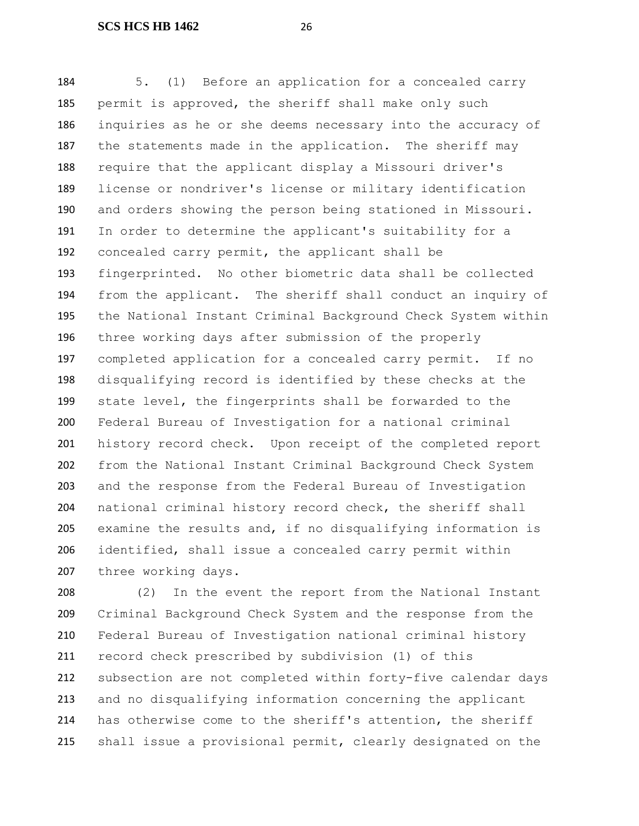5. (1) Before an application for a concealed carry permit is approved, the sheriff shall make only such inquiries as he or she deems necessary into the accuracy of 187 the statements made in the application. The sheriff may require that the applicant display a Missouri driver's license or nondriver's license or military identification and orders showing the person being stationed in Missouri. In order to determine the applicant's suitability for a concealed carry permit, the applicant shall be fingerprinted. No other biometric data shall be collected from the applicant. The sheriff shall conduct an inquiry of the National Instant Criminal Background Check System within three working days after submission of the properly completed application for a concealed carry permit. If no disqualifying record is identified by these checks at the state level, the fingerprints shall be forwarded to the Federal Bureau of Investigation for a national criminal history record check. Upon receipt of the completed report from the National Instant Criminal Background Check System and the response from the Federal Bureau of Investigation national criminal history record check, the sheriff shall examine the results and, if no disqualifying information is identified, shall issue a concealed carry permit within three working days.

 (2) In the event the report from the National Instant Criminal Background Check System and the response from the Federal Bureau of Investigation national criminal history record check prescribed by subdivision (1) of this subsection are not completed within forty-five calendar days and no disqualifying information concerning the applicant has otherwise come to the sheriff's attention, the sheriff shall issue a provisional permit, clearly designated on the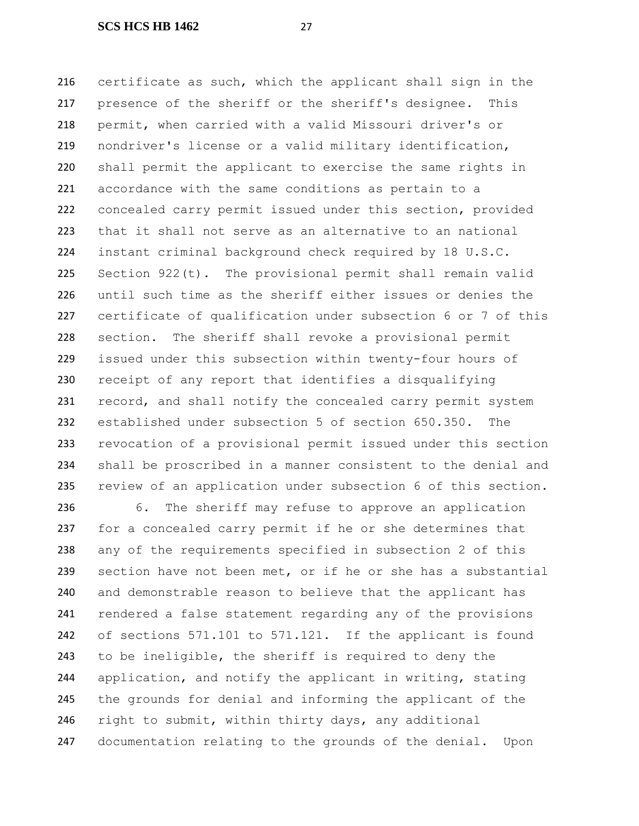certificate as such, which the applicant shall sign in the presence of the sheriff or the sheriff's designee. This permit, when carried with a valid Missouri driver's or nondriver's license or a valid military identification, shall permit the applicant to exercise the same rights in accordance with the same conditions as pertain to a concealed carry permit issued under this section, provided that it shall not serve as an alternative to an national instant criminal background check required by 18 U.S.C. Section 922(t). The provisional permit shall remain valid until such time as the sheriff either issues or denies the certificate of qualification under subsection 6 or 7 of this section. The sheriff shall revoke a provisional permit issued under this subsection within twenty-four hours of receipt of any report that identifies a disqualifying 231 record, and shall notify the concealed carry permit system established under subsection 5 of section 650.350. The revocation of a provisional permit issued under this section shall be proscribed in a manner consistent to the denial and review of an application under subsection 6 of this section.

 6. The sheriff may refuse to approve an application for a concealed carry permit if he or she determines that any of the requirements specified in subsection 2 of this section have not been met, or if he or she has a substantial and demonstrable reason to believe that the applicant has rendered a false statement regarding any of the provisions of sections 571.101 to 571.121. If the applicant is found to be ineligible, the sheriff is required to deny the application, and notify the applicant in writing, stating the grounds for denial and informing the applicant of the 246 right to submit, within thirty days, any additional documentation relating to the grounds of the denial. Upon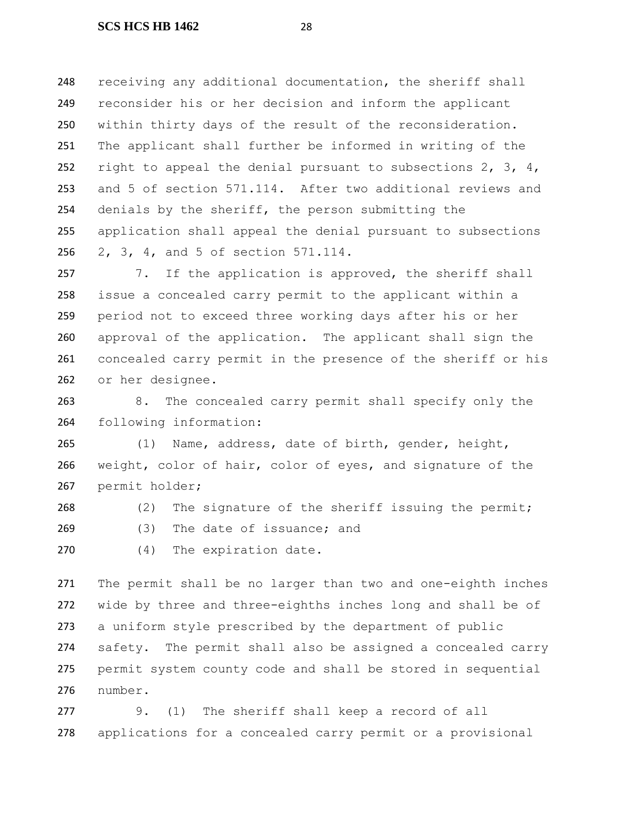248 receiving any additional documentation, the sheriff shall reconsider his or her decision and inform the applicant within thirty days of the result of the reconsideration. The applicant shall further be informed in writing of the 252 right to appeal the denial pursuant to subsections  $2, 3, 4,$  and 5 of section 571.114. After two additional reviews and denials by the sheriff, the person submitting the application shall appeal the denial pursuant to subsections 2, 3, 4, and 5 of section 571.114.

257 7. If the application is approved, the sheriff shall issue a concealed carry permit to the applicant within a period not to exceed three working days after his or her approval of the application. The applicant shall sign the concealed carry permit in the presence of the sheriff or his or her designee.

 8. The concealed carry permit shall specify only the following information:

 (1) Name, address, date of birth, gender, height, weight, color of hair, color of eyes, and signature of the permit holder;

268 (2) The signature of the sheriff issuing the permit; (3) The date of issuance; and

(4) The expiration date.

 The permit shall be no larger than two and one-eighth inches wide by three and three-eighths inches long and shall be of a uniform style prescribed by the department of public safety. The permit shall also be assigned a concealed carry permit system county code and shall be stored in sequential number.

 9. (1) The sheriff shall keep a record of all applications for a concealed carry permit or a provisional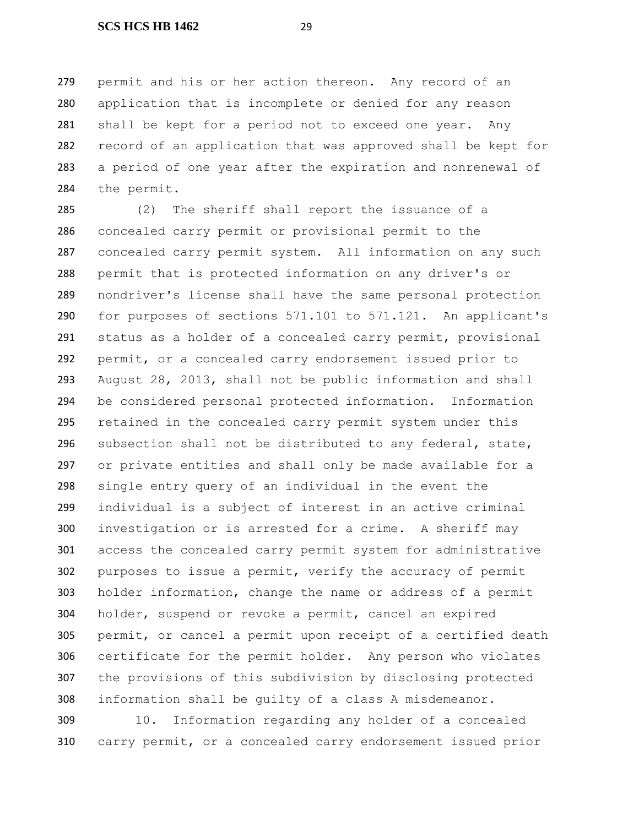permit and his or her action thereon. Any record of an application that is incomplete or denied for any reason shall be kept for a period not to exceed one year. Any record of an application that was approved shall be kept for a period of one year after the expiration and nonrenewal of the permit.

 (2) The sheriff shall report the issuance of a concealed carry permit or provisional permit to the concealed carry permit system. All information on any such permit that is protected information on any driver's or nondriver's license shall have the same personal protection for purposes of sections 571.101 to 571.121. An applicant's status as a holder of a concealed carry permit, provisional permit, or a concealed carry endorsement issued prior to August 28, 2013, shall not be public information and shall be considered personal protected information. Information retained in the concealed carry permit system under this subsection shall not be distributed to any federal, state, or private entities and shall only be made available for a single entry query of an individual in the event the individual is a subject of interest in an active criminal investigation or is arrested for a crime. A sheriff may access the concealed carry permit system for administrative purposes to issue a permit, verify the accuracy of permit holder information, change the name or address of a permit holder, suspend or revoke a permit, cancel an expired permit, or cancel a permit upon receipt of a certified death certificate for the permit holder. Any person who violates the provisions of this subdivision by disclosing protected information shall be guilty of a class A misdemeanor.

 10. Information regarding any holder of a concealed carry permit, or a concealed carry endorsement issued prior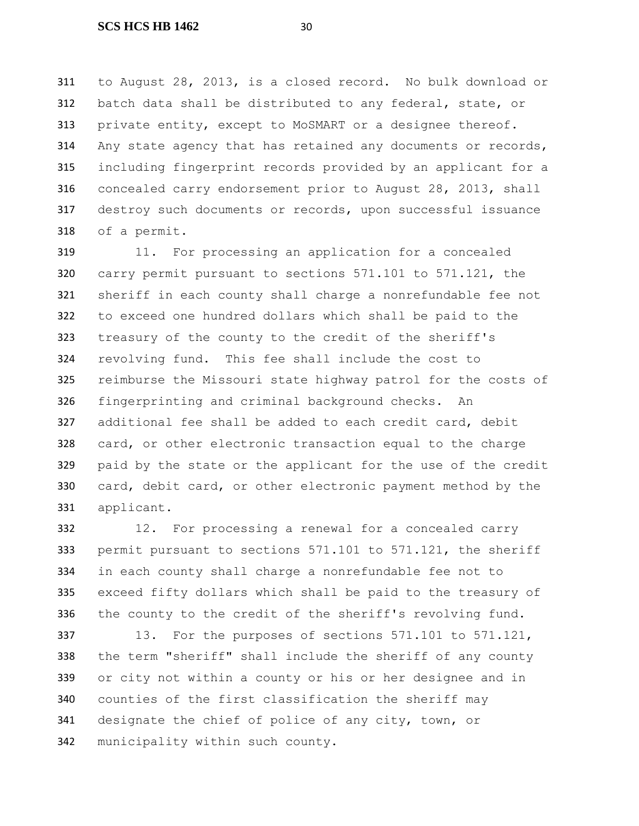to August 28, 2013, is a closed record. No bulk download or batch data shall be distributed to any federal, state, or private entity, except to MoSMART or a designee thereof. Any state agency that has retained any documents or records, including fingerprint records provided by an applicant for a concealed carry endorsement prior to August 28, 2013, shall destroy such documents or records, upon successful issuance of a permit.

319 11. For processing an application for a concealed carry permit pursuant to sections 571.101 to 571.121, the sheriff in each county shall charge a nonrefundable fee not to exceed one hundred dollars which shall be paid to the treasury of the county to the credit of the sheriff's revolving fund. This fee shall include the cost to reimburse the Missouri state highway patrol for the costs of fingerprinting and criminal background checks. An additional fee shall be added to each credit card, debit 328 card, or other electronic transaction equal to the charge paid by the state or the applicant for the use of the credit card, debit card, or other electronic payment method by the applicant.

 12. For processing a renewal for a concealed carry permit pursuant to sections 571.101 to 571.121, the sheriff in each county shall charge a nonrefundable fee not to exceed fifty dollars which shall be paid to the treasury of the county to the credit of the sheriff's revolving fund.

337 13. For the purposes of sections 571.101 to 571.121, the term "sheriff" shall include the sheriff of any county or city not within a county or his or her designee and in counties of the first classification the sheriff may designate the chief of police of any city, town, or municipality within such county.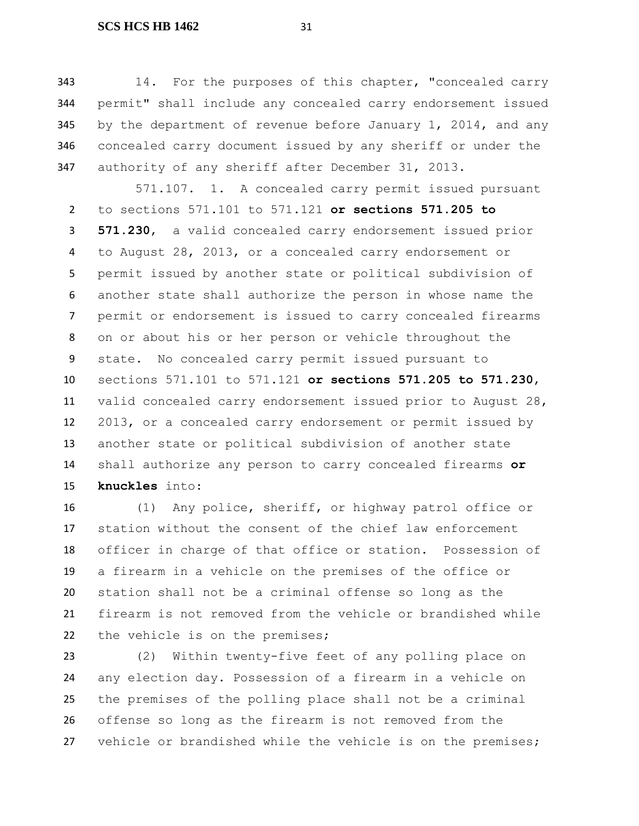14. For the purposes of this chapter, "concealed carry permit" shall include any concealed carry endorsement issued by the department of revenue before January 1, 2014, and any concealed carry document issued by any sheriff or under the authority of any sheriff after December 31, 2013.

571.107. 1. A concealed carry permit issued pursuant to sections 571.101 to 571.121 **or sections 571.205 to 571.230**, a valid concealed carry endorsement issued prior to August 28, 2013, or a concealed carry endorsement or permit issued by another state or political subdivision of another state shall authorize the person in whose name the permit or endorsement is issued to carry concealed firearms on or about his or her person or vehicle throughout the state. No concealed carry permit issued pursuant to sections 571.101 to 571.121 **or sections 571.205 to 571.230**, valid concealed carry endorsement issued prior to August 28, 2013, or a concealed carry endorsement or permit issued by another state or political subdivision of another state shall authorize any person to carry concealed firearms **or knuckles** into:

 (1) Any police, sheriff, or highway patrol office or station without the consent of the chief law enforcement officer in charge of that office or station. Possession of a firearm in a vehicle on the premises of the office or station shall not be a criminal offense so long as the firearm is not removed from the vehicle or brandished while the vehicle is on the premises;

 (2) Within twenty-five feet of any polling place on any election day. Possession of a firearm in a vehicle on the premises of the polling place shall not be a criminal offense so long as the firearm is not removed from the vehicle or brandished while the vehicle is on the premises;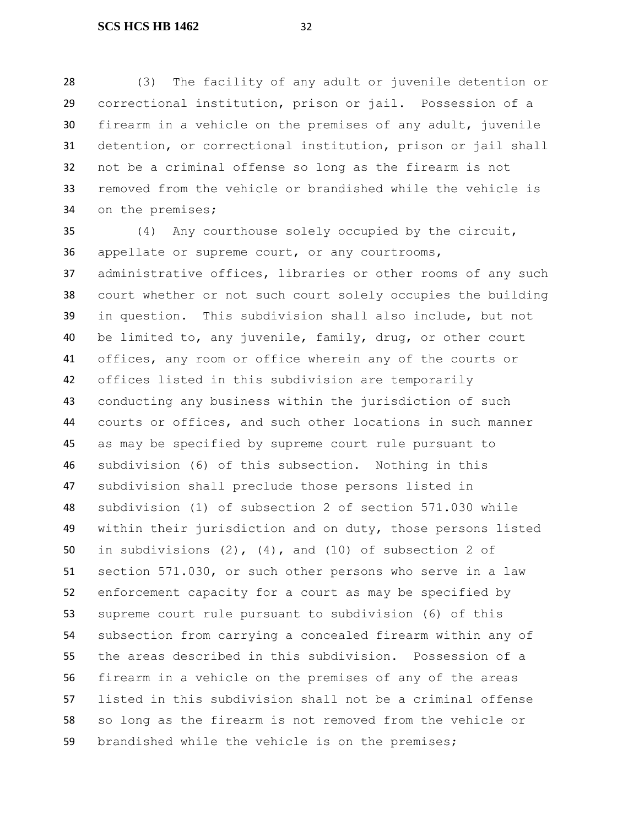(3) The facility of any adult or juvenile detention or correctional institution, prison or jail. Possession of a firearm in a vehicle on the premises of any adult, juvenile detention, or correctional institution, prison or jail shall not be a criminal offense so long as the firearm is not removed from the vehicle or brandished while the vehicle is on the premises;

 (4) Any courthouse solely occupied by the circuit, appellate or supreme court, or any courtrooms, administrative offices, libraries or other rooms of any such court whether or not such court solely occupies the building in question. This subdivision shall also include, but not be limited to, any juvenile, family, drug, or other court offices, any room or office wherein any of the courts or offices listed in this subdivision are temporarily conducting any business within the jurisdiction of such courts or offices, and such other locations in such manner as may be specified by supreme court rule pursuant to subdivision (6) of this subsection. Nothing in this subdivision shall preclude those persons listed in subdivision (1) of subsection 2 of section 571.030 while within their jurisdiction and on duty, those persons listed in subdivisions (2), (4), and (10) of subsection 2 of section 571.030, or such other persons who serve in a law enforcement capacity for a court as may be specified by supreme court rule pursuant to subdivision (6) of this subsection from carrying a concealed firearm within any of the areas described in this subdivision. Possession of a firearm in a vehicle on the premises of any of the areas listed in this subdivision shall not be a criminal offense so long as the firearm is not removed from the vehicle or brandished while the vehicle is on the premises;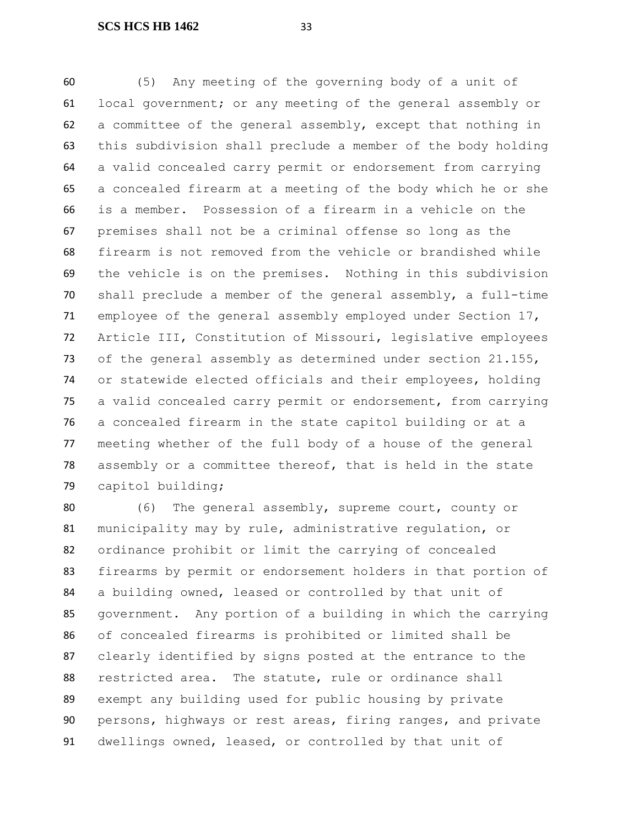(5) Any meeting of the governing body of a unit of local government; or any meeting of the general assembly or a committee of the general assembly, except that nothing in this subdivision shall preclude a member of the body holding a valid concealed carry permit or endorsement from carrying a concealed firearm at a meeting of the body which he or she is a member. Possession of a firearm in a vehicle on the premises shall not be a criminal offense so long as the firearm is not removed from the vehicle or brandished while the vehicle is on the premises. Nothing in this subdivision shall preclude a member of the general assembly, a full-time employee of the general assembly employed under Section 17, Article III, Constitution of Missouri, legislative employees 73 of the general assembly as determined under section 21.155, or statewide elected officials and their employees, holding a valid concealed carry permit or endorsement, from carrying a concealed firearm in the state capitol building or at a meeting whether of the full body of a house of the general assembly or a committee thereof, that is held in the state capitol building;

 (6) The general assembly, supreme court, county or municipality may by rule, administrative regulation, or ordinance prohibit or limit the carrying of concealed firearms by permit or endorsement holders in that portion of a building owned, leased or controlled by that unit of government. Any portion of a building in which the carrying of concealed firearms is prohibited or limited shall be clearly identified by signs posted at the entrance to the restricted area. The statute, rule or ordinance shall exempt any building used for public housing by private persons, highways or rest areas, firing ranges, and private dwellings owned, leased, or controlled by that unit of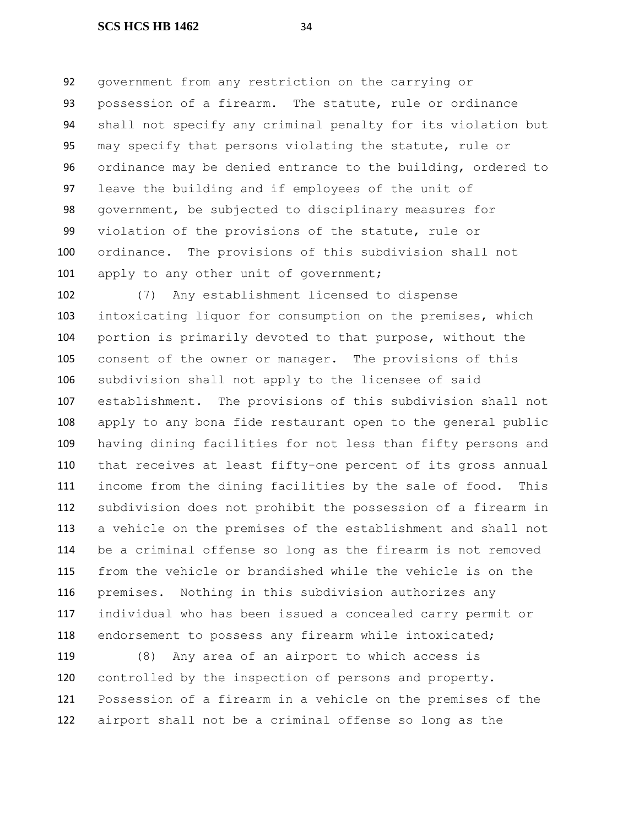government from any restriction on the carrying or possession of a firearm. The statute, rule or ordinance shall not specify any criminal penalty for its violation but may specify that persons violating the statute, rule or ordinance may be denied entrance to the building, ordered to leave the building and if employees of the unit of government, be subjected to disciplinary measures for violation of the provisions of the statute, rule or ordinance. The provisions of this subdivision shall not 101 apply to any other unit of government;

 (7) Any establishment licensed to dispense intoxicating liquor for consumption on the premises, which portion is primarily devoted to that purpose, without the consent of the owner or manager. The provisions of this subdivision shall not apply to the licensee of said establishment. The provisions of this subdivision shall not apply to any bona fide restaurant open to the general public having dining facilities for not less than fifty persons and that receives at least fifty-one percent of its gross annual income from the dining facilities by the sale of food. This subdivision does not prohibit the possession of a firearm in a vehicle on the premises of the establishment and shall not be a criminal offense so long as the firearm is not removed from the vehicle or brandished while the vehicle is on the premises. Nothing in this subdivision authorizes any individual who has been issued a concealed carry permit or 118 endorsement to possess any firearm while intoxicated;

 (8) Any area of an airport to which access is controlled by the inspection of persons and property. Possession of a firearm in a vehicle on the premises of the airport shall not be a criminal offense so long as the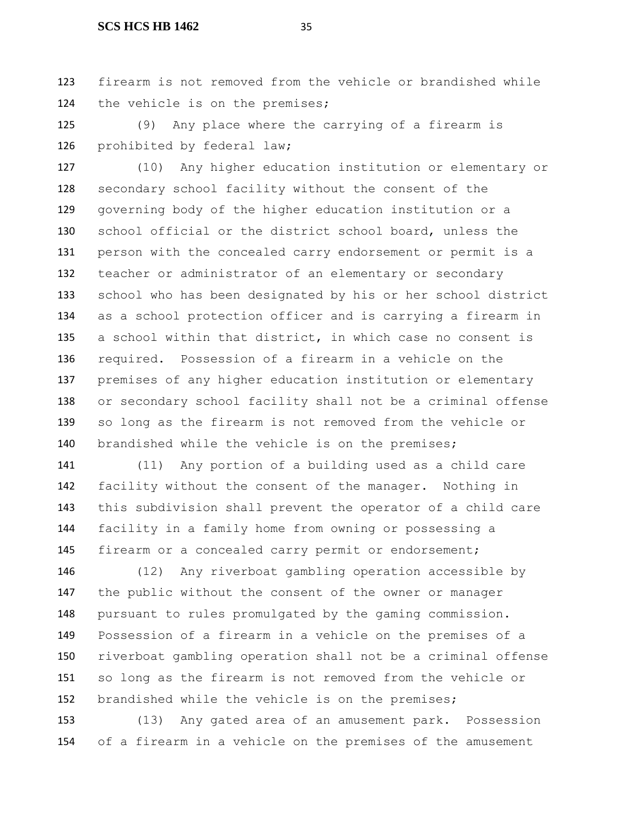firearm is not removed from the vehicle or brandished while the vehicle is on the premises;

 (9) Any place where the carrying of a firearm is 126 prohibited by federal law;

 (10) Any higher education institution or elementary or secondary school facility without the consent of the governing body of the higher education institution or a school official or the district school board, unless the person with the concealed carry endorsement or permit is a teacher or administrator of an elementary or secondary school who has been designated by his or her school district as a school protection officer and is carrying a firearm in a school within that district, in which case no consent is required. Possession of a firearm in a vehicle on the premises of any higher education institution or elementary or secondary school facility shall not be a criminal offense so long as the firearm is not removed from the vehicle or brandished while the vehicle is on the premises;

 (11) Any portion of a building used as a child care facility without the consent of the manager. Nothing in this subdivision shall prevent the operator of a child care facility in a family home from owning or possessing a 145 firearm or a concealed carry permit or endorsement;

 (12) Any riverboat gambling operation accessible by the public without the consent of the owner or manager pursuant to rules promulgated by the gaming commission. Possession of a firearm in a vehicle on the premises of a riverboat gambling operation shall not be a criminal offense so long as the firearm is not removed from the vehicle or brandished while the vehicle is on the premises;

 (13) Any gated area of an amusement park. Possession of a firearm in a vehicle on the premises of the amusement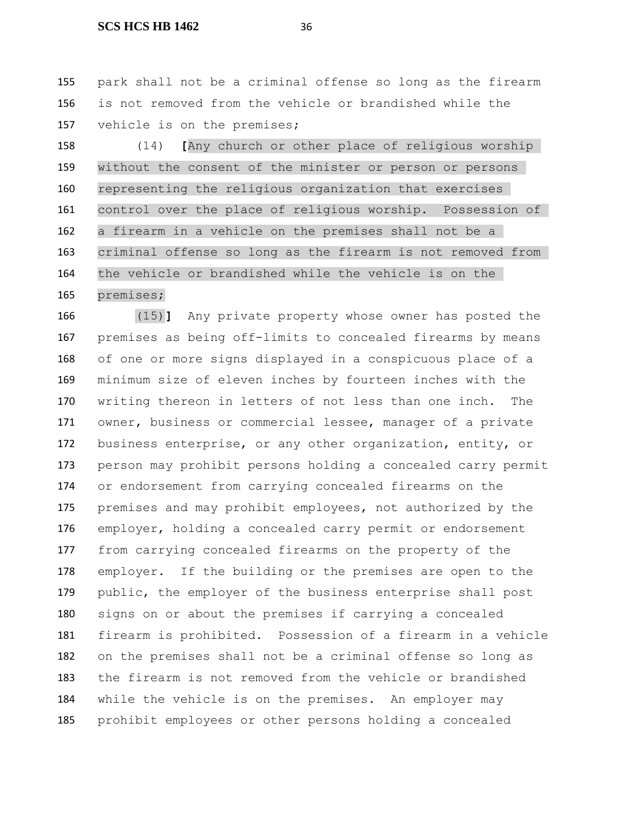park shall not be a criminal offense so long as the firearm is not removed from the vehicle or brandished while the vehicle is on the premises;

 (14) **[**Any church or other place of religious worship without the consent of the minister or person or persons representing the religious organization that exercises control over the place of religious worship. Possession of a firearm in a vehicle on the premises shall not be a criminal offense so long as the firearm is not removed from the vehicle or brandished while the vehicle is on the premises;

 (15)**]** Any private property whose owner has posted the premises as being off-limits to concealed firearms by means of one or more signs displayed in a conspicuous place of a minimum size of eleven inches by fourteen inches with the writing thereon in letters of not less than one inch. The owner, business or commercial lessee, manager of a private business enterprise, or any other organization, entity, or person may prohibit persons holding a concealed carry permit or endorsement from carrying concealed firearms on the premises and may prohibit employees, not authorized by the employer, holding a concealed carry permit or endorsement from carrying concealed firearms on the property of the employer. If the building or the premises are open to the 179 public, the employer of the business enterprise shall post signs on or about the premises if carrying a concealed firearm is prohibited. Possession of a firearm in a vehicle on the premises shall not be a criminal offense so long as the firearm is not removed from the vehicle or brandished while the vehicle is on the premises. An employer may prohibit employees or other persons holding a concealed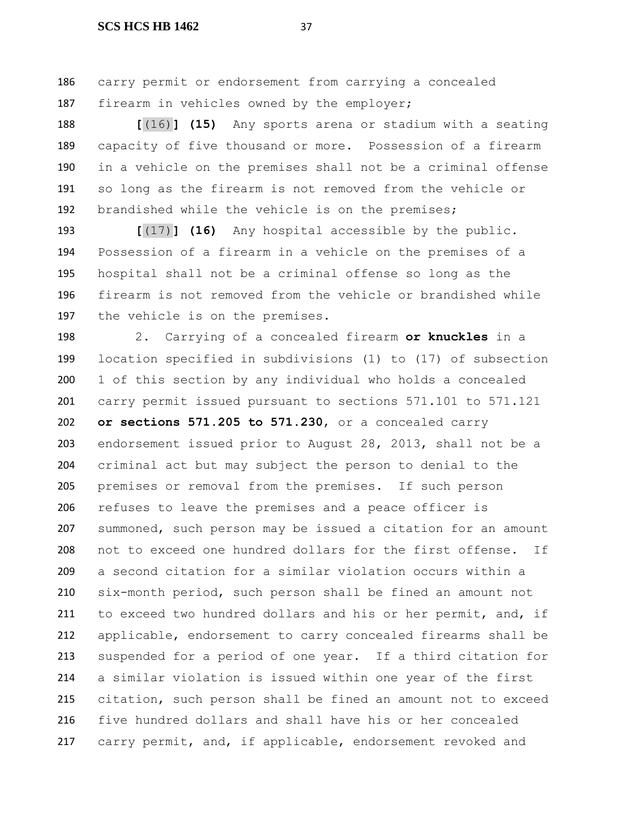carry permit or endorsement from carrying a concealed 187 firearm in vehicles owned by the employer;

 **[**(16)**] (15)** Any sports arena or stadium with a seating capacity of five thousand or more. Possession of a firearm in a vehicle on the premises shall not be a criminal offense so long as the firearm is not removed from the vehicle or brandished while the vehicle is on the premises;

 **[**(17)**] (16)** Any hospital accessible by the public. Possession of a firearm in a vehicle on the premises of a hospital shall not be a criminal offense so long as the firearm is not removed from the vehicle or brandished while the vehicle is on the premises.

 2. Carrying of a concealed firearm **or knuckles** in a location specified in subdivisions (1) to (17) of subsection 1 of this section by any individual who holds a concealed carry permit issued pursuant to sections 571.101 to 571.121 **or sections 571.205 to 571.230**, or a concealed carry endorsement issued prior to August 28, 2013, shall not be a criminal act but may subject the person to denial to the premises or removal from the premises. If such person refuses to leave the premises and a peace officer is summoned, such person may be issued a citation for an amount not to exceed one hundred dollars for the first offense. If a second citation for a similar violation occurs within a six-month period, such person shall be fined an amount not 211 to exceed two hundred dollars and his or her permit, and, if applicable, endorsement to carry concealed firearms shall be suspended for a period of one year. If a third citation for a similar violation is issued within one year of the first citation, such person shall be fined an amount not to exceed five hundred dollars and shall have his or her concealed 217 carry permit, and, if applicable, endorsement revoked and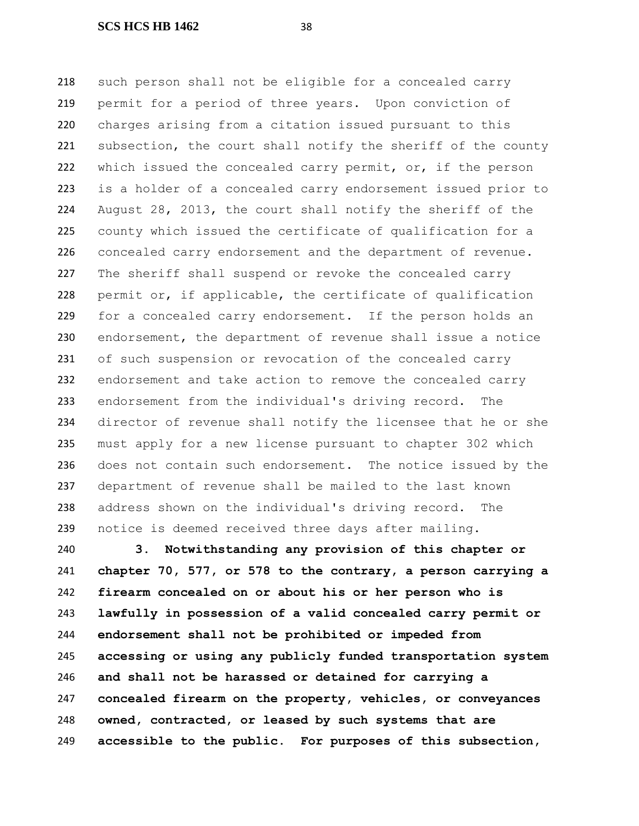such person shall not be eligible for a concealed carry permit for a period of three years. Upon conviction of charges arising from a citation issued pursuant to this subsection, the court shall notify the sheriff of the county which issued the concealed carry permit, or, if the person is a holder of a concealed carry endorsement issued prior to August 28, 2013, the court shall notify the sheriff of the county which issued the certificate of qualification for a concealed carry endorsement and the department of revenue. The sheriff shall suspend or revoke the concealed carry permit or, if applicable, the certificate of qualification for a concealed carry endorsement. If the person holds an endorsement, the department of revenue shall issue a notice of such suspension or revocation of the concealed carry endorsement and take action to remove the concealed carry endorsement from the individual's driving record. The director of revenue shall notify the licensee that he or she must apply for a new license pursuant to chapter 302 which does not contain such endorsement. The notice issued by the department of revenue shall be mailed to the last known address shown on the individual's driving record. The notice is deemed received three days after mailing.

 **3. Notwithstanding any provision of this chapter or chapter 70, 577, or 578 to the contrary, a person carrying a firearm concealed on or about his or her person who is lawfully in possession of a valid concealed carry permit or endorsement shall not be prohibited or impeded from accessing or using any publicly funded transportation system and shall not be harassed or detained for carrying a concealed firearm on the property, vehicles, or conveyances owned, contracted, or leased by such systems that are accessible to the public. For purposes of this subsection,**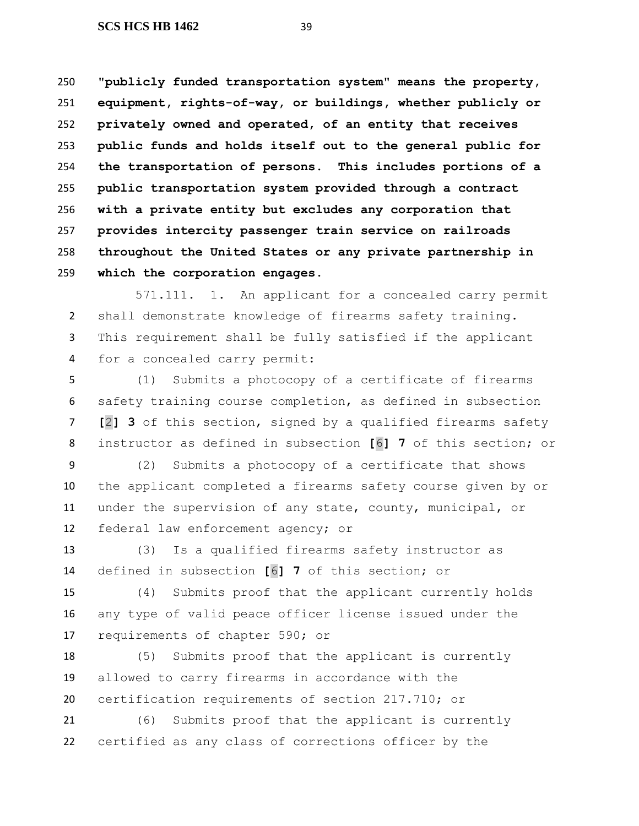**"publicly funded transportation system" means the property, equipment, rights-of-way, or buildings, whether publicly or privately owned and operated, of an entity that receives public funds and holds itself out to the general public for the transportation of persons. This includes portions of a public transportation system provided through a contract with a private entity but excludes any corporation that provides intercity passenger train service on railroads throughout the United States or any private partnership in which the corporation engages.**

571.111. 1. An applicant for a concealed carry permit shall demonstrate knowledge of firearms safety training. This requirement shall be fully satisfied if the applicant for a concealed carry permit:

 (1) Submits a photocopy of a certificate of firearms safety training course completion, as defined in subsection **[**2**] 3** of this section, signed by a qualified firearms safety instructor as defined in subsection **[**6**] 7** of this section; or

 (2) Submits a photocopy of a certificate that shows the applicant completed a firearms safety course given by or under the supervision of any state, county, municipal, or federal law enforcement agency; or

 (3) Is a qualified firearms safety instructor as defined in subsection **[**6**] 7** of this section; or

 (4) Submits proof that the applicant currently holds any type of valid peace officer license issued under the requirements of chapter 590; or

 (5) Submits proof that the applicant is currently allowed to carry firearms in accordance with the certification requirements of section 217.710; or

 (6) Submits proof that the applicant is currently certified as any class of corrections officer by the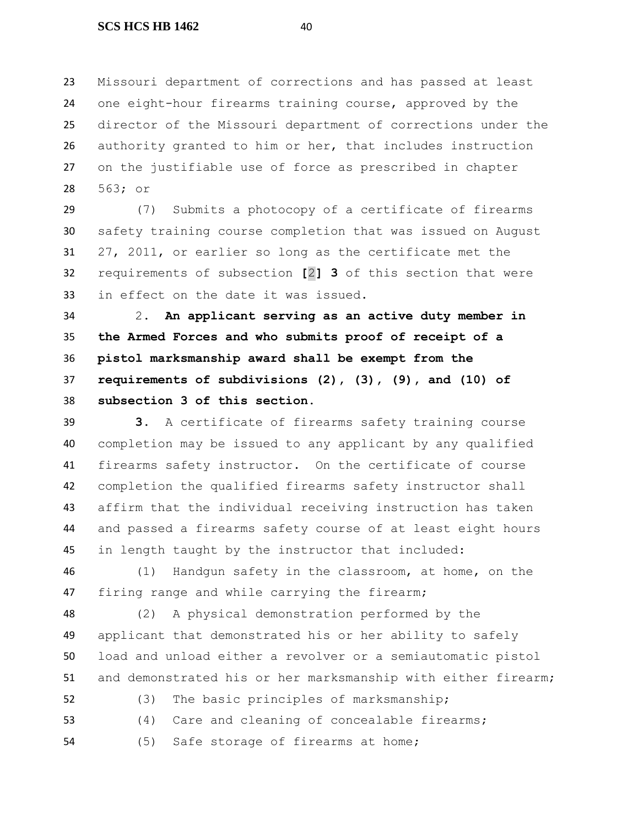Missouri department of corrections and has passed at least one eight-hour firearms training course, approved by the director of the Missouri department of corrections under the authority granted to him or her, that includes instruction on the justifiable use of force as prescribed in chapter 563; or

 (7) Submits a photocopy of a certificate of firearms safety training course completion that was issued on August 27, 2011, or earlier so long as the certificate met the requirements of subsection **[**2**] 3** of this section that were in effect on the date it was issued.

 2. **An applicant serving as an active duty member in the Armed Forces and who submits proof of receipt of a pistol marksmanship award shall be exempt from the requirements of subdivisions (2), (3), (9), and (10) of subsection 3 of this section.**

 **3.** A certificate of firearms safety training course completion may be issued to any applicant by any qualified firearms safety instructor. On the certificate of course completion the qualified firearms safety instructor shall affirm that the individual receiving instruction has taken and passed a firearms safety course of at least eight hours in length taught by the instructor that included:

 (1) Handgun safety in the classroom, at home, on the firing range and while carrying the firearm;

 (2) A physical demonstration performed by the applicant that demonstrated his or her ability to safely load and unload either a revolver or a semiautomatic pistol and demonstrated his or her marksmanship with either firearm;

```
52 (3) The basic principles of marksmanship;
```
- (4) Care and cleaning of concealable firearms;
- (5) Safe storage of firearms at home;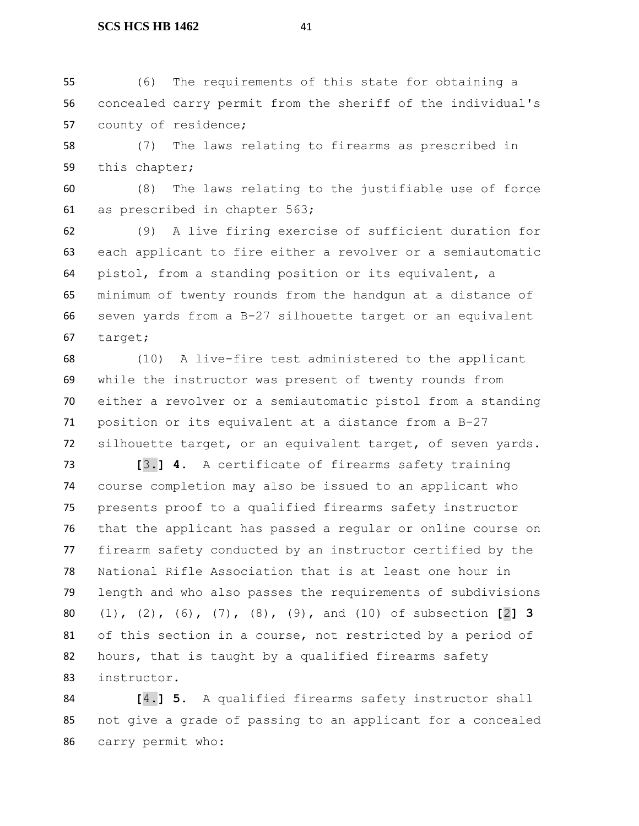(6) The requirements of this state for obtaining a concealed carry permit from the sheriff of the individual's county of residence;

 (7) The laws relating to firearms as prescribed in this chapter;

 (8) The laws relating to the justifiable use of force as prescribed in chapter 563;

 (9) A live firing exercise of sufficient duration for each applicant to fire either a revolver or a semiautomatic pistol, from a standing position or its equivalent, a minimum of twenty rounds from the handgun at a distance of seven yards from a B-27 silhouette target or an equivalent target;

 (10) A live-fire test administered to the applicant while the instructor was present of twenty rounds from either a revolver or a semiautomatic pistol from a standing position or its equivalent at a distance from a B-27 silhouette target, or an equivalent target, of seven yards.

 **[**3.**] 4.** A certificate of firearms safety training course completion may also be issued to an applicant who presents proof to a qualified firearms safety instructor that the applicant has passed a regular or online course on firearm safety conducted by an instructor certified by the National Rifle Association that is at least one hour in length and who also passes the requirements of subdivisions (1), (2), (6), (7), (8), (9), and (10) of subsection **[**2**] 3** of this section in a course, not restricted by a period of 82 hours, that is taught by a qualified firearms safety instructor.

 **[**4.**] 5.** A qualified firearms safety instructor shall not give a grade of passing to an applicant for a concealed carry permit who: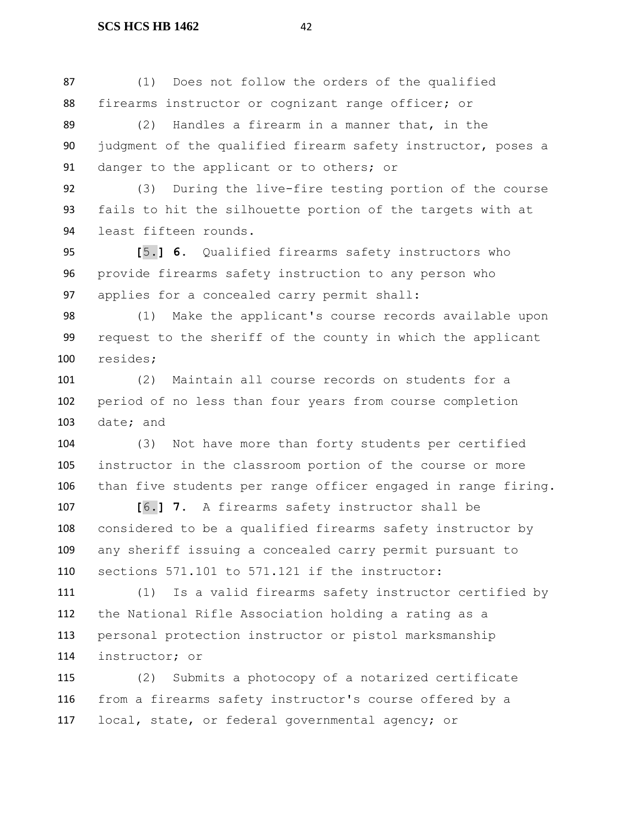(1) Does not follow the orders of the qualified firearms instructor or cognizant range officer; or

 (2) Handles a firearm in a manner that, in the judgment of the qualified firearm safety instructor, poses a 91 danger to the applicant or to others; or

 (3) During the live-fire testing portion of the course fails to hit the silhouette portion of the targets with at least fifteen rounds.

 **[**5.**] 6.** Qualified firearms safety instructors who provide firearms safety instruction to any person who applies for a concealed carry permit shall:

 (1) Make the applicant's course records available upon request to the sheriff of the county in which the applicant resides;

 (2) Maintain all course records on students for a period of no less than four years from course completion date; and

 (3) Not have more than forty students per certified instructor in the classroom portion of the course or more than five students per range officer engaged in range firing.

 **[**6.**] 7.** A firearms safety instructor shall be considered to be a qualified firearms safety instructor by any sheriff issuing a concealed carry permit pursuant to sections 571.101 to 571.121 if the instructor:

 (1) Is a valid firearms safety instructor certified by the National Rifle Association holding a rating as a personal protection instructor or pistol marksmanship instructor; or

 (2) Submits a photocopy of a notarized certificate from a firearms safety instructor's course offered by a local, state, or federal governmental agency; or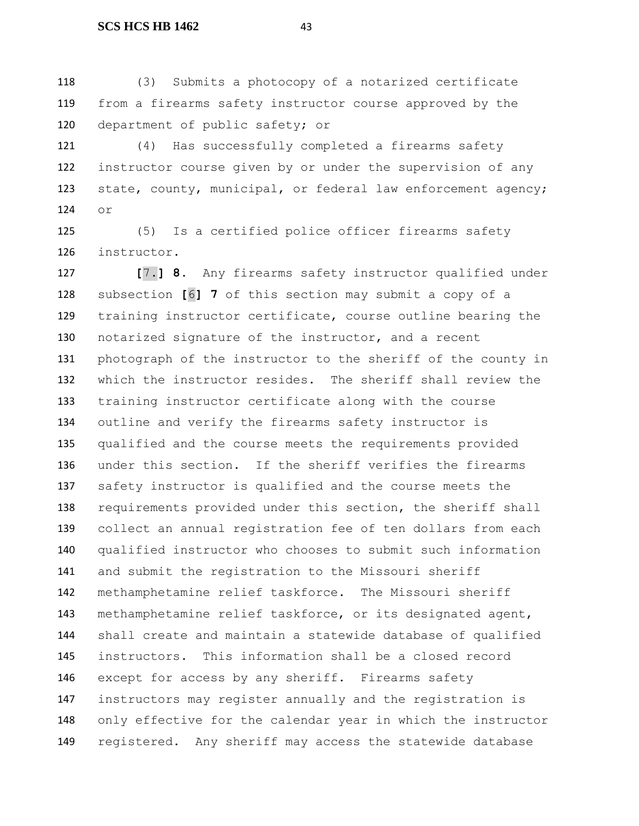(3) Submits a photocopy of a notarized certificate from a firearms safety instructor course approved by the department of public safety; or

 (4) Has successfully completed a firearms safety instructor course given by or under the supervision of any 123 state, county, municipal, or federal law enforcement agency; or

 (5) Is a certified police officer firearms safety instructor.

 **[**7.**] 8.** Any firearms safety instructor qualified under subsection **[**6**] 7** of this section may submit a copy of a training instructor certificate, course outline bearing the notarized signature of the instructor, and a recent photograph of the instructor to the sheriff of the county in which the instructor resides. The sheriff shall review the training instructor certificate along with the course outline and verify the firearms safety instructor is qualified and the course meets the requirements provided under this section. If the sheriff verifies the firearms safety instructor is qualified and the course meets the requirements provided under this section, the sheriff shall collect an annual registration fee of ten dollars from each qualified instructor who chooses to submit such information and submit the registration to the Missouri sheriff methamphetamine relief taskforce. The Missouri sheriff methamphetamine relief taskforce, or its designated agent, shall create and maintain a statewide database of qualified instructors. This information shall be a closed record except for access by any sheriff. Firearms safety instructors may register annually and the registration is only effective for the calendar year in which the instructor registered. Any sheriff may access the statewide database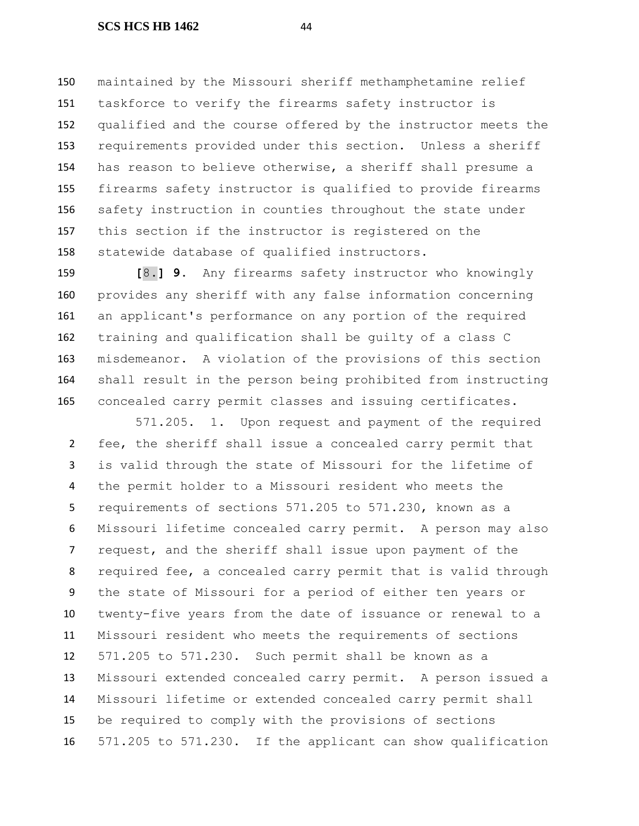maintained by the Missouri sheriff methamphetamine relief taskforce to verify the firearms safety instructor is qualified and the course offered by the instructor meets the requirements provided under this section. Unless a sheriff has reason to believe otherwise, a sheriff shall presume a firearms safety instructor is qualified to provide firearms safety instruction in counties throughout the state under this section if the instructor is registered on the statewide database of qualified instructors.

 **[**8.**] 9.** Any firearms safety instructor who knowingly provides any sheriff with any false information concerning an applicant's performance on any portion of the required training and qualification shall be guilty of a class C misdemeanor. A violation of the provisions of this section shall result in the person being prohibited from instructing concealed carry permit classes and issuing certificates.

571.205. 1. Upon request and payment of the required fee, the sheriff shall issue a concealed carry permit that is valid through the state of Missouri for the lifetime of the permit holder to a Missouri resident who meets the requirements of sections 571.205 to 571.230, known as a Missouri lifetime concealed carry permit. A person may also request, and the sheriff shall issue upon payment of the required fee, a concealed carry permit that is valid through the state of Missouri for a period of either ten years or twenty-five years from the date of issuance or renewal to a Missouri resident who meets the requirements of sections 571.205 to 571.230. Such permit shall be known as a Missouri extended concealed carry permit. A person issued a Missouri lifetime or extended concealed carry permit shall be required to comply with the provisions of sections 571.205 to 571.230. If the applicant can show qualification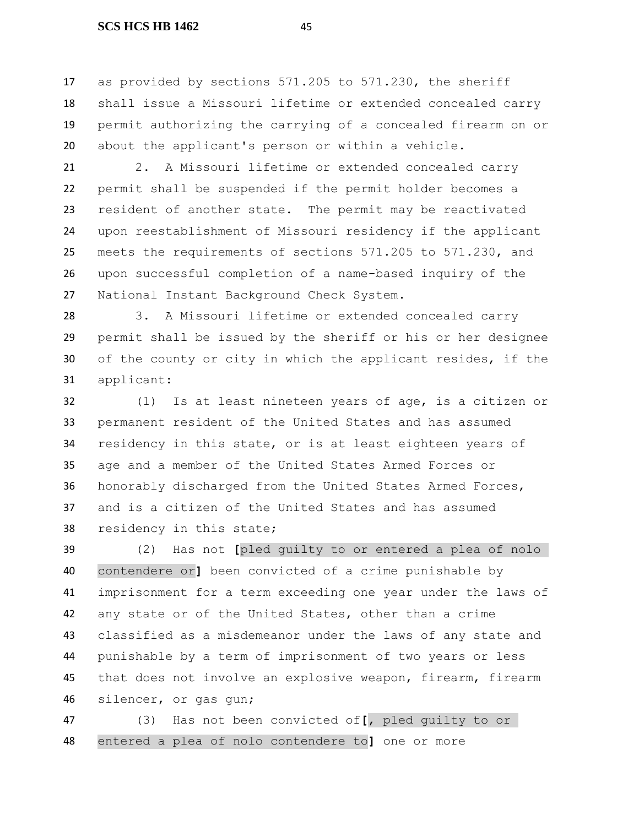as provided by sections 571.205 to 571.230, the sheriff shall issue a Missouri lifetime or extended concealed carry permit authorizing the carrying of a concealed firearm on or about the applicant's person or within a vehicle.

 2. A Missouri lifetime or extended concealed carry permit shall be suspended if the permit holder becomes a resident of another state. The permit may be reactivated upon reestablishment of Missouri residency if the applicant meets the requirements of sections 571.205 to 571.230, and upon successful completion of a name-based inquiry of the National Instant Background Check System.

 3. A Missouri lifetime or extended concealed carry permit shall be issued by the sheriff or his or her designee of the county or city in which the applicant resides, if the applicant:

 (1) Is at least nineteen years of age, is a citizen or permanent resident of the United States and has assumed residency in this state, or is at least eighteen years of age and a member of the United States Armed Forces or honorably discharged from the United States Armed Forces, and is a citizen of the United States and has assumed residency in this state;

 (2) Has not **[**pled guilty to or entered a plea of nolo contendere or**]** been convicted of a crime punishable by imprisonment for a term exceeding one year under the laws of any state or of the United States, other than a crime classified as a misdemeanor under the laws of any state and punishable by a term of imprisonment of two years or less that does not involve an explosive weapon, firearm, firearm silencer, or gas gun;

 (3) Has not been convicted of**[**, pled guilty to or entered a plea of nolo contendere to**]** one or more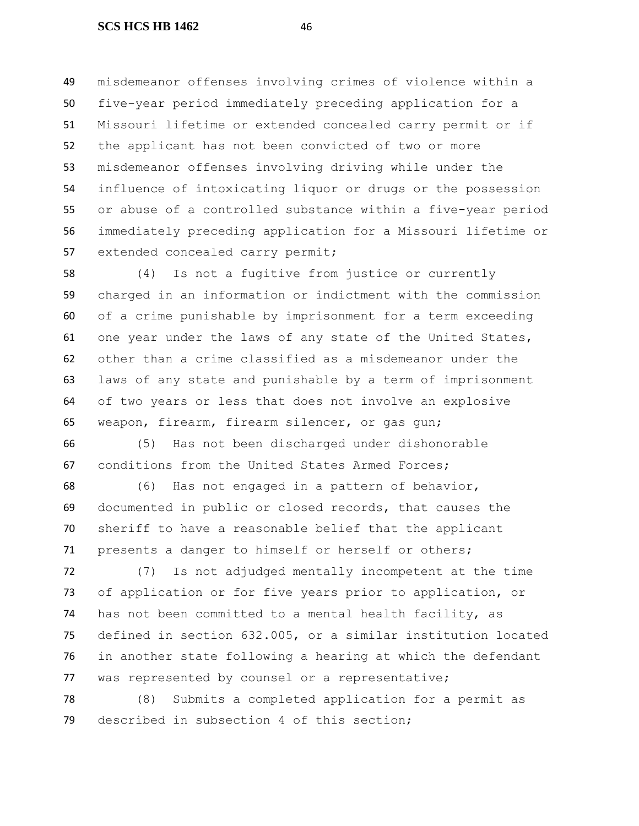misdemeanor offenses involving crimes of violence within a five-year period immediately preceding application for a Missouri lifetime or extended concealed carry permit or if the applicant has not been convicted of two or more misdemeanor offenses involving driving while under the influence of intoxicating liquor or drugs or the possession or abuse of a controlled substance within a five-year period immediately preceding application for a Missouri lifetime or extended concealed carry permit;

 (4) Is not a fugitive from justice or currently charged in an information or indictment with the commission of a crime punishable by imprisonment for a term exceeding one year under the laws of any state of the United States, other than a crime classified as a misdemeanor under the laws of any state and punishable by a term of imprisonment of two years or less that does not involve an explosive weapon, firearm, firearm silencer, or gas gun;

 (5) Has not been discharged under dishonorable conditions from the United States Armed Forces;

 (6) Has not engaged in a pattern of behavior, documented in public or closed records, that causes the sheriff to have a reasonable belief that the applicant presents a danger to himself or herself or others;

 (7) Is not adjudged mentally incompetent at the time of application or for five years prior to application, or has not been committed to a mental health facility, as defined in section 632.005, or a similar institution located in another state following a hearing at which the defendant was represented by counsel or a representative;

 (8) Submits a completed application for a permit as described in subsection 4 of this section;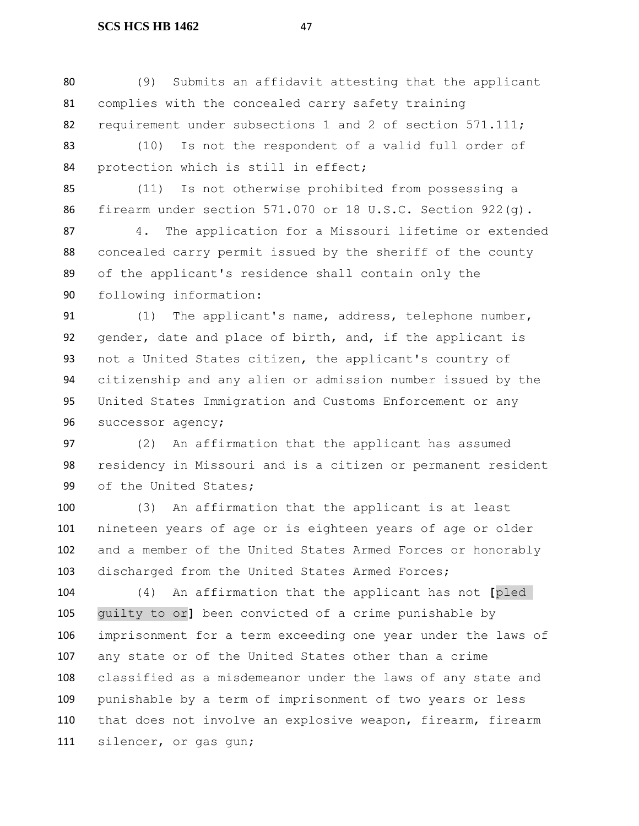(9) Submits an affidavit attesting that the applicant complies with the concealed carry safety training 82 requirement under subsections 1 and 2 of section 571.111;

 (10) Is not the respondent of a valid full order of protection which is still in effect;

 (11) Is not otherwise prohibited from possessing a firearm under section 571.070 or 18 U.S.C. Section 922(g).

 4. The application for a Missouri lifetime or extended concealed carry permit issued by the sheriff of the county of the applicant's residence shall contain only the following information:

91 (1) The applicant's name, address, telephone number, gender, date and place of birth, and, if the applicant is not a United States citizen, the applicant's country of citizenship and any alien or admission number issued by the United States Immigration and Customs Enforcement or any successor agency;

 (2) An affirmation that the applicant has assumed residency in Missouri and is a citizen or permanent resident of the United States;

 (3) An affirmation that the applicant is at least nineteen years of age or is eighteen years of age or older and a member of the United States Armed Forces or honorably discharged from the United States Armed Forces;

 (4) An affirmation that the applicant has not **[**pled guilty to or**]** been convicted of a crime punishable by imprisonment for a term exceeding one year under the laws of any state or of the United States other than a crime classified as a misdemeanor under the laws of any state and punishable by a term of imprisonment of two years or less that does not involve an explosive weapon, firearm, firearm silencer, or gas gun;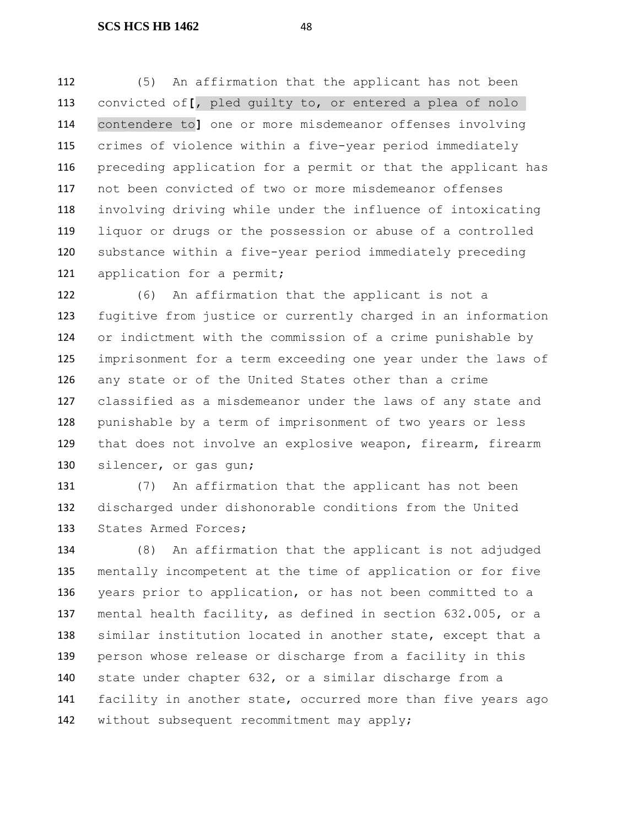(5) An affirmation that the applicant has not been convicted of**[**, pled guilty to, or entered a plea of nolo contendere to**]** one or more misdemeanor offenses involving crimes of violence within a five-year period immediately preceding application for a permit or that the applicant has not been convicted of two or more misdemeanor offenses involving driving while under the influence of intoxicating liquor or drugs or the possession or abuse of a controlled substance within a five-year period immediately preceding 121 application for a permit;

 (6) An affirmation that the applicant is not a fugitive from justice or currently charged in an information or indictment with the commission of a crime punishable by imprisonment for a term exceeding one year under the laws of any state or of the United States other than a crime classified as a misdemeanor under the laws of any state and punishable by a term of imprisonment of two years or less that does not involve an explosive weapon, firearm, firearm silencer, or gas gun;

 (7) An affirmation that the applicant has not been discharged under dishonorable conditions from the United States Armed Forces;

 (8) An affirmation that the applicant is not adjudged mentally incompetent at the time of application or for five years prior to application, or has not been committed to a mental health facility, as defined in section 632.005, or a similar institution located in another state, except that a person whose release or discharge from a facility in this state under chapter 632, or a similar discharge from a facility in another state, occurred more than five years ago without subsequent recommitment may apply;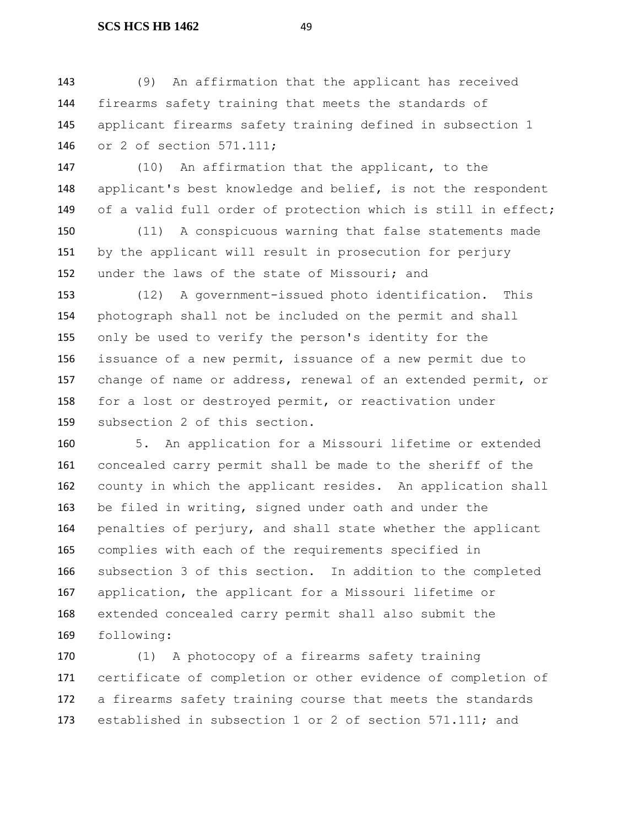(9) An affirmation that the applicant has received firearms safety training that meets the standards of applicant firearms safety training defined in subsection 1 or 2 of section 571.111;

 (10) An affirmation that the applicant, to the applicant's best knowledge and belief, is not the respondent of a valid full order of protection which is still in effect;

 (11) A conspicuous warning that false statements made by the applicant will result in prosecution for perjury under the laws of the state of Missouri; and

 (12) A government-issued photo identification. This photograph shall not be included on the permit and shall only be used to verify the person's identity for the issuance of a new permit, issuance of a new permit due to change of name or address, renewal of an extended permit, or for a lost or destroyed permit, or reactivation under subsection 2 of this section.

 5. An application for a Missouri lifetime or extended concealed carry permit shall be made to the sheriff of the county in which the applicant resides. An application shall be filed in writing, signed under oath and under the penalties of perjury, and shall state whether the applicant complies with each of the requirements specified in subsection 3 of this section. In addition to the completed application, the applicant for a Missouri lifetime or extended concealed carry permit shall also submit the following:

 (1) A photocopy of a firearms safety training certificate of completion or other evidence of completion of a firearms safety training course that meets the standards established in subsection 1 or 2 of section 571.111; and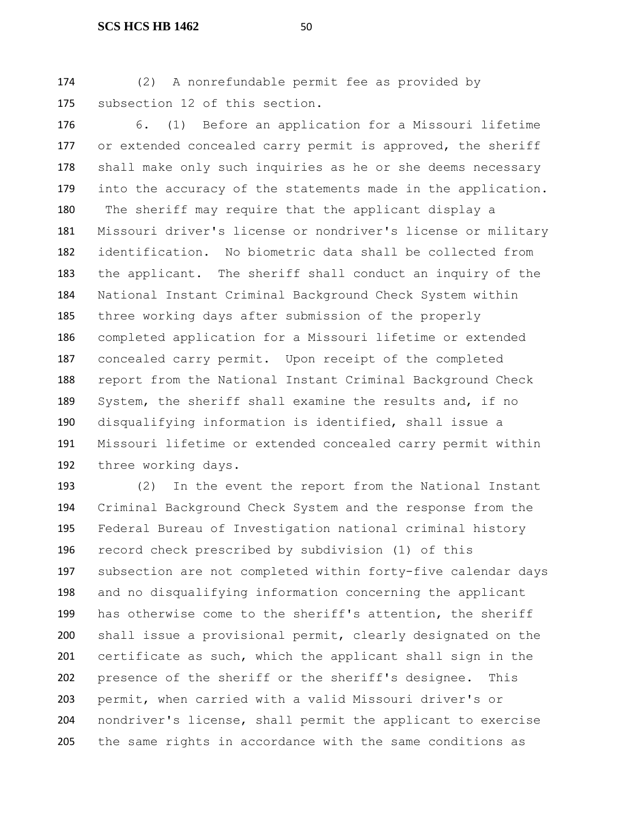(2) A nonrefundable permit fee as provided by subsection 12 of this section.

 6. (1) Before an application for a Missouri lifetime or extended concealed carry permit is approved, the sheriff shall make only such inquiries as he or she deems necessary 179 into the accuracy of the statements made in the application. The sheriff may require that the applicant display a Missouri driver's license or nondriver's license or military identification. No biometric data shall be collected from the applicant. The sheriff shall conduct an inquiry of the National Instant Criminal Background Check System within three working days after submission of the properly completed application for a Missouri lifetime or extended concealed carry permit. Upon receipt of the completed report from the National Instant Criminal Background Check System, the sheriff shall examine the results and, if no disqualifying information is identified, shall issue a Missouri lifetime or extended concealed carry permit within three working days.

 (2) In the event the report from the National Instant Criminal Background Check System and the response from the Federal Bureau of Investigation national criminal history record check prescribed by subdivision (1) of this subsection are not completed within forty-five calendar days and no disqualifying information concerning the applicant has otherwise come to the sheriff's attention, the sheriff shall issue a provisional permit, clearly designated on the certificate as such, which the applicant shall sign in the presence of the sheriff or the sheriff's designee. This permit, when carried with a valid Missouri driver's or nondriver's license, shall permit the applicant to exercise the same rights in accordance with the same conditions as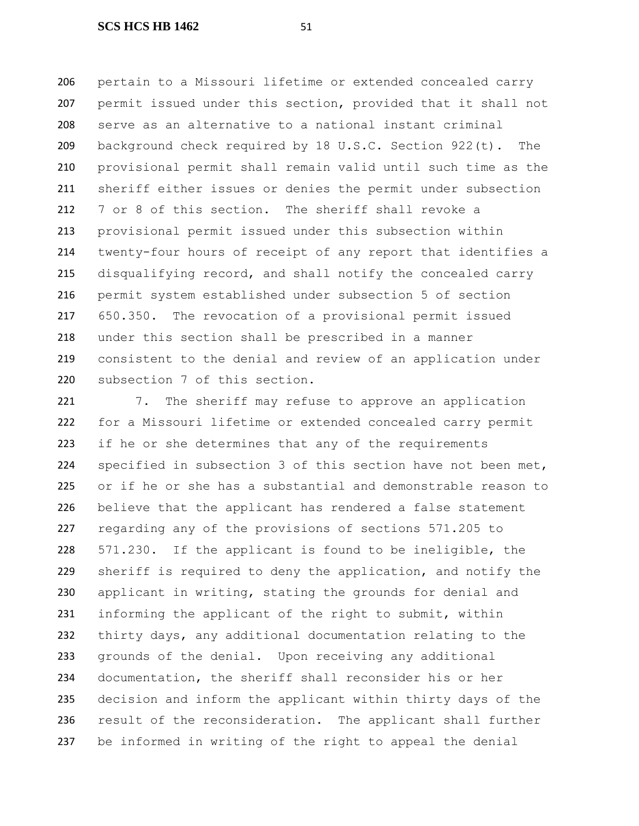pertain to a Missouri lifetime or extended concealed carry permit issued under this section, provided that it shall not serve as an alternative to a national instant criminal background check required by 18 U.S.C. Section 922(t). The provisional permit shall remain valid until such time as the sheriff either issues or denies the permit under subsection 7 or 8 of this section. The sheriff shall revoke a provisional permit issued under this subsection within twenty-four hours of receipt of any report that identifies a disqualifying record, and shall notify the concealed carry permit system established under subsection 5 of section 650.350. The revocation of a provisional permit issued under this section shall be prescribed in a manner consistent to the denial and review of an application under subsection 7 of this section.

221 7. The sheriff may refuse to approve an application for a Missouri lifetime or extended concealed carry permit 223 if he or she determines that any of the requirements specified in subsection 3 of this section have not been met, or if he or she has a substantial and demonstrable reason to believe that the applicant has rendered a false statement regarding any of the provisions of sections 571.205 to 571.230. If the applicant is found to be ineligible, the sheriff is required to deny the application, and notify the applicant in writing, stating the grounds for denial and informing the applicant of the right to submit, within thirty days, any additional documentation relating to the grounds of the denial. Upon receiving any additional documentation, the sheriff shall reconsider his or her decision and inform the applicant within thirty days of the 236 result of the reconsideration. The applicant shall further be informed in writing of the right to appeal the denial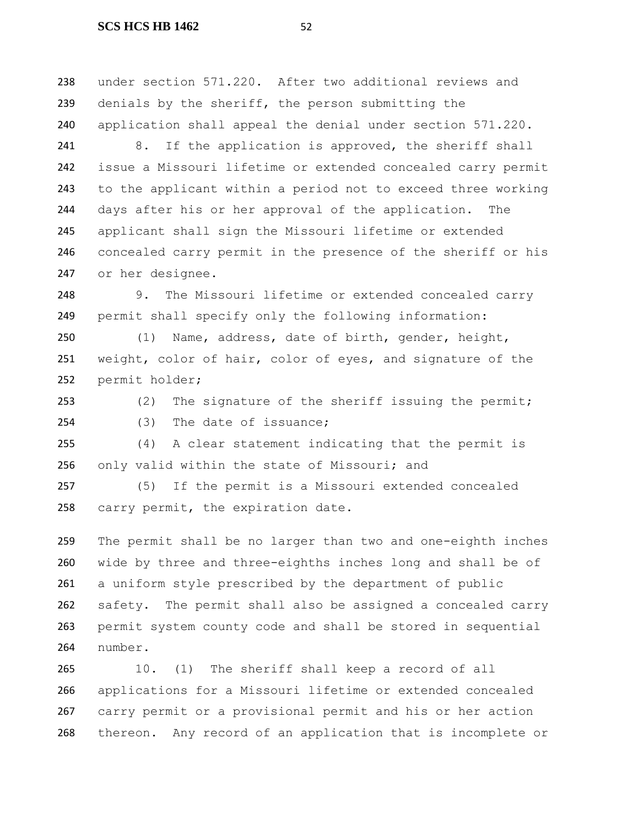under section 571.220. After two additional reviews and denials by the sheriff, the person submitting the application shall appeal the denial under section 571.220.

241 8. If the application is approved, the sheriff shall issue a Missouri lifetime or extended concealed carry permit to the applicant within a period not to exceed three working days after his or her approval of the application. The applicant shall sign the Missouri lifetime or extended concealed carry permit in the presence of the sheriff or his or her designee.

 9. The Missouri lifetime or extended concealed carry permit shall specify only the following information:

 (1) Name, address, date of birth, gender, height, weight, color of hair, color of eyes, and signature of the permit holder;

 (2) The signature of the sheriff issuing the permit; (3) The date of issuance;

 (4) A clear statement indicating that the permit is only valid within the state of Missouri; and

 (5) If the permit is a Missouri extended concealed carry permit, the expiration date.

 The permit shall be no larger than two and one-eighth inches wide by three and three-eighths inches long and shall be of a uniform style prescribed by the department of public safety. The permit shall also be assigned a concealed carry permit system county code and shall be stored in sequential number.

 10. (1) The sheriff shall keep a record of all applications for a Missouri lifetime or extended concealed carry permit or a provisional permit and his or her action thereon. Any record of an application that is incomplete or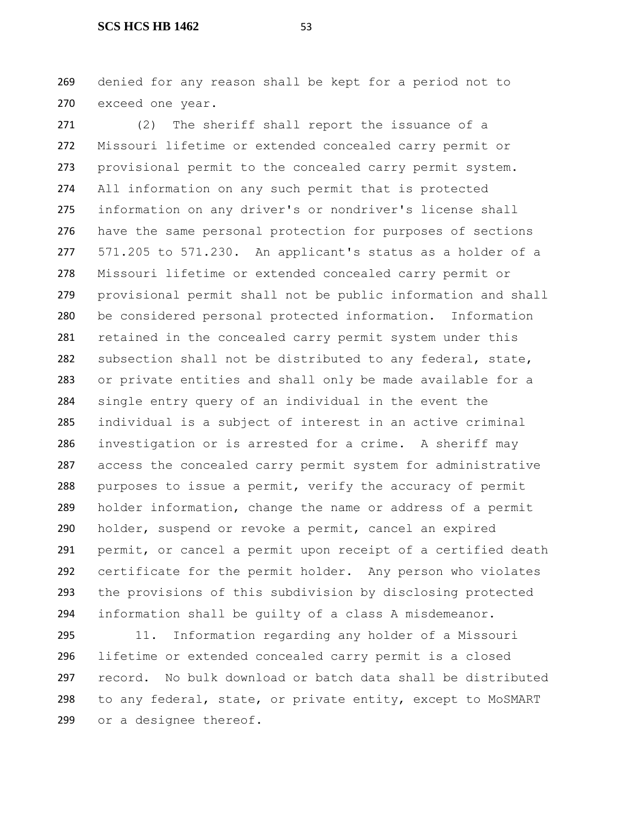denied for any reason shall be kept for a period not to exceed one year.

 (2) The sheriff shall report the issuance of a Missouri lifetime or extended concealed carry permit or provisional permit to the concealed carry permit system. All information on any such permit that is protected information on any driver's or nondriver's license shall have the same personal protection for purposes of sections 571.205 to 571.230. An applicant's status as a holder of a Missouri lifetime or extended concealed carry permit or provisional permit shall not be public information and shall be considered personal protected information. Information retained in the concealed carry permit system under this 282 subsection shall not be distributed to any federal, state, or private entities and shall only be made available for a single entry query of an individual in the event the individual is a subject of interest in an active criminal investigation or is arrested for a crime. A sheriff may access the concealed carry permit system for administrative purposes to issue a permit, verify the accuracy of permit holder information, change the name or address of a permit holder, suspend or revoke a permit, cancel an expired permit, or cancel a permit upon receipt of a certified death certificate for the permit holder. Any person who violates the provisions of this subdivision by disclosing protected information shall be guilty of a class A misdemeanor.

 11. Information regarding any holder of a Missouri lifetime or extended concealed carry permit is a closed record. No bulk download or batch data shall be distributed to any federal, state, or private entity, except to MoSMART or a designee thereof.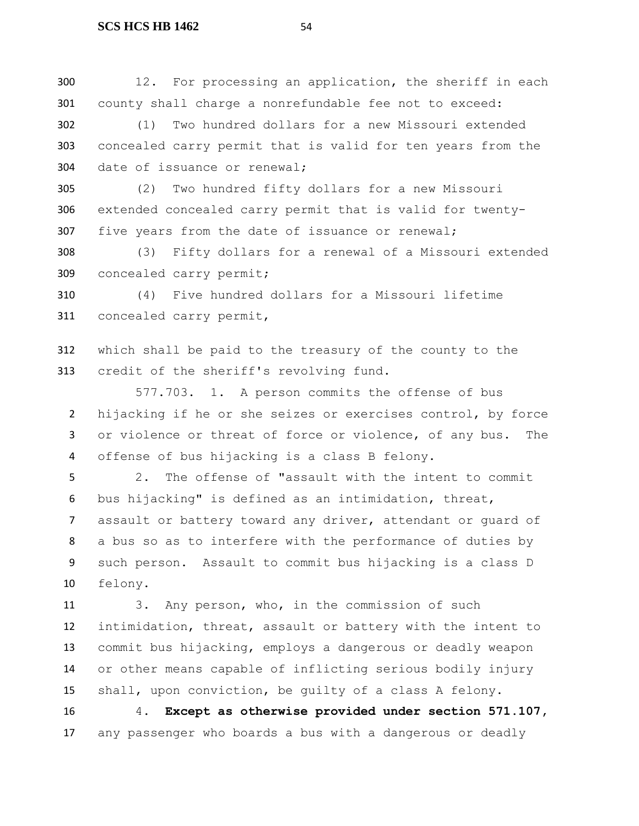12. For processing an application, the sheriff in each county shall charge a nonrefundable fee not to exceed:

 (1) Two hundred dollars for a new Missouri extended concealed carry permit that is valid for ten years from the date of issuance or renewal;

 (2) Two hundred fifty dollars for a new Missouri extended concealed carry permit that is valid for twenty-five years from the date of issuance or renewal;

 (3) Fifty dollars for a renewal of a Missouri extended concealed carry permit;

 (4) Five hundred dollars for a Missouri lifetime concealed carry permit,

 which shall be paid to the treasury of the county to the credit of the sheriff's revolving fund.

577.703. 1. A person commits the offense of bus hijacking if he or she seizes or exercises control, by force 3 or violence or threat of force or violence, of any bus. The offense of bus hijacking is a class B felony.

 2. The offense of "assault with the intent to commit bus hijacking" is defined as an intimidation, threat, assault or battery toward any driver, attendant or guard of a bus so as to interfere with the performance of duties by such person. Assault to commit bus hijacking is a class D felony.

 3. Any person, who, in the commission of such intimidation, threat, assault or battery with the intent to commit bus hijacking, employs a dangerous or deadly weapon or other means capable of inflicting serious bodily injury shall, upon conviction, be guilty of a class A felony.

 4. **Except as otherwise provided under section 571.107,** any passenger who boards a bus with a dangerous or deadly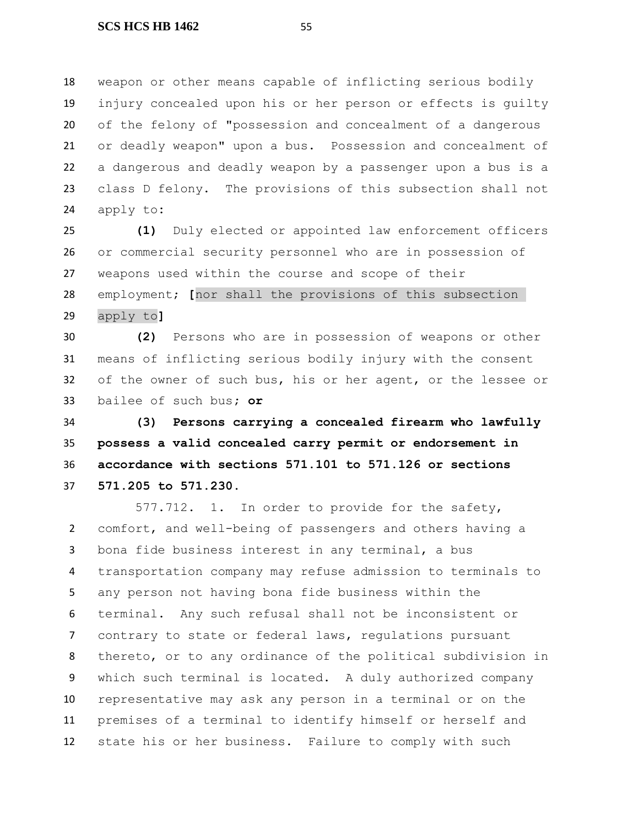weapon or other means capable of inflicting serious bodily injury concealed upon his or her person or effects is guilty of the felony of "possession and concealment of a dangerous or deadly weapon" upon a bus. Possession and concealment of a dangerous and deadly weapon by a passenger upon a bus is a class D felony. The provisions of this subsection shall not apply to**:**

 **(1)** Duly elected or appointed law enforcement officers or commercial security personnel who are in possession of weapons used within the course and scope of their employment; **[**nor shall the provisions of this subsection apply to**]**

 **(2)** Persons who are in possession of weapons or other means of inflicting serious bodily injury with the consent of the owner of such bus, his or her agent, or the lessee or bailee of such bus**; or**

 **(3) Persons carrying a concealed firearm who lawfully possess a valid concealed carry permit or endorsement in accordance with sections 571.101 to 571.126 or sections 571.205 to 571.230**.

577.712. 1. In order to provide for the safety, comfort, and well-being of passengers and others having a bona fide business interest in any terminal, a bus transportation company may refuse admission to terminals to any person not having bona fide business within the terminal. Any such refusal shall not be inconsistent or contrary to state or federal laws, regulations pursuant thereto, or to any ordinance of the political subdivision in which such terminal is located. A duly authorized company representative may ask any person in a terminal or on the premises of a terminal to identify himself or herself and state his or her business. Failure to comply with such